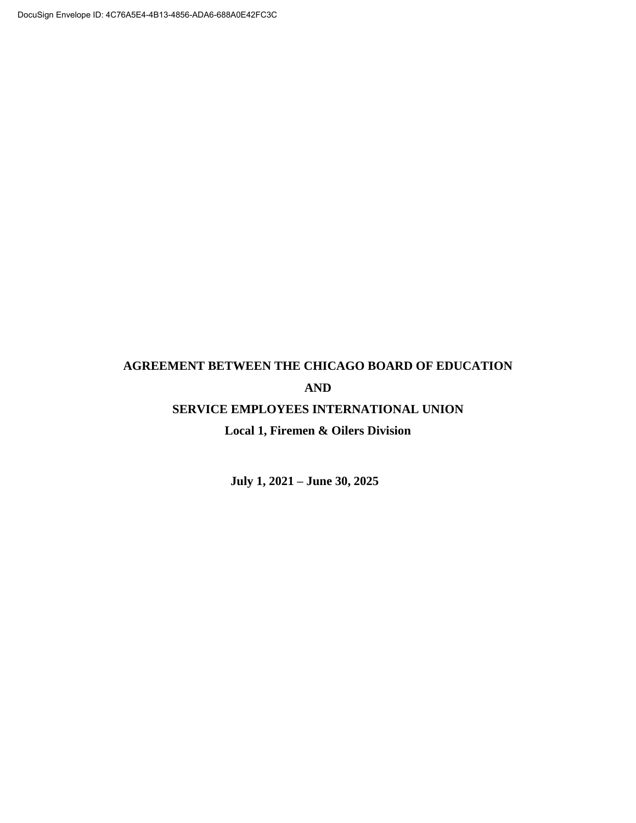# **AGREEMENT BETWEEN THE CHICAGO BOARD OF EDUCATION AND**

# **SERVICE EMPLOYEES INTERNATIONAL UNION**

# **Local 1, Firemen & Oilers Division**

**July 1, 2021 – June 30, 2025**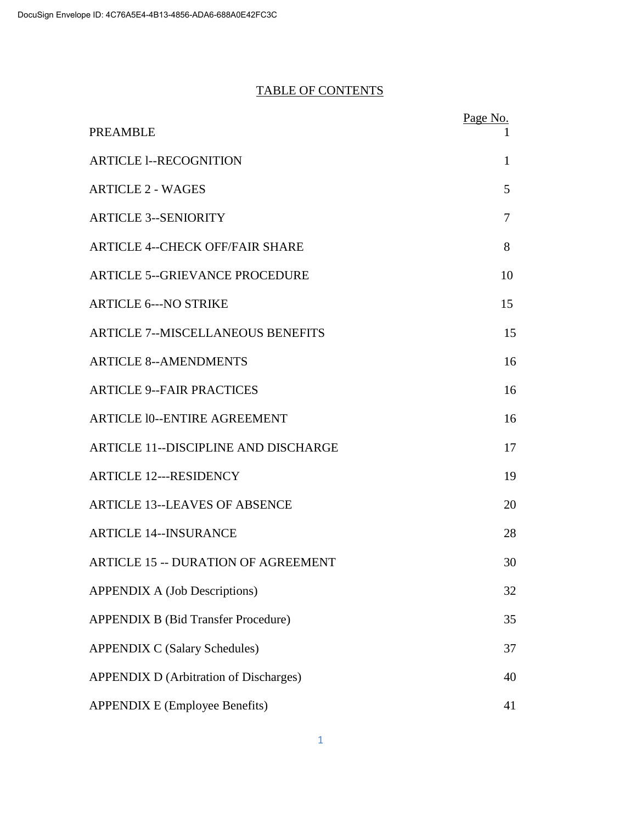# TABLE OF CONTENTS

| <b>PREAMBLE</b>                               | Page No.     |
|-----------------------------------------------|--------------|
| <b>ARTICLE 1--RECOGNITION</b>                 | $\mathbf{1}$ |
| <b>ARTICLE 2 - WAGES</b>                      | 5            |
| <b>ARTICLE 3--SENIORITY</b>                   | 7            |
| <b>ARTICLE 4--CHECK OFF/FAIR SHARE</b>        | 8            |
| <b>ARTICLE 5--GRIEVANCE PROCEDURE</b>         | 10           |
| <b>ARTICLE 6--- NO STRIKE</b>                 | 15           |
| <b>ARTICLE 7--MISCELLANEOUS BENEFITS</b>      | 15           |
| <b>ARTICLE 8--AMENDMENTS</b>                  | 16           |
| <b>ARTICLE 9--FAIR PRACTICES</b>              | 16           |
| <b>ARTICLE 10--ENTIRE AGREEMENT</b>           | 16           |
| <b>ARTICLE 11--DISCIPLINE AND DISCHARGE</b>   | 17           |
| <b>ARTICLE 12---RESIDENCY</b>                 | 19           |
| <b>ARTICLE 13--LEAVES OF ABSENCE</b>          | 20           |
| <b>ARTICLE 14--INSURANCE</b>                  | 28           |
| <b>ARTICLE 15 -- DURATION OF AGREEMENT</b>    | 30           |
| <b>APPENDIX A (Job Descriptions)</b>          | 32           |
| <b>APPENDIX B (Bid Transfer Procedure)</b>    | 35           |
| <b>APPENDIX C (Salary Schedules)</b>          | 37           |
| <b>APPENDIX D (Arbitration of Discharges)</b> | 40           |
| <b>APPENDIX E (Employee Benefits)</b>         | 41           |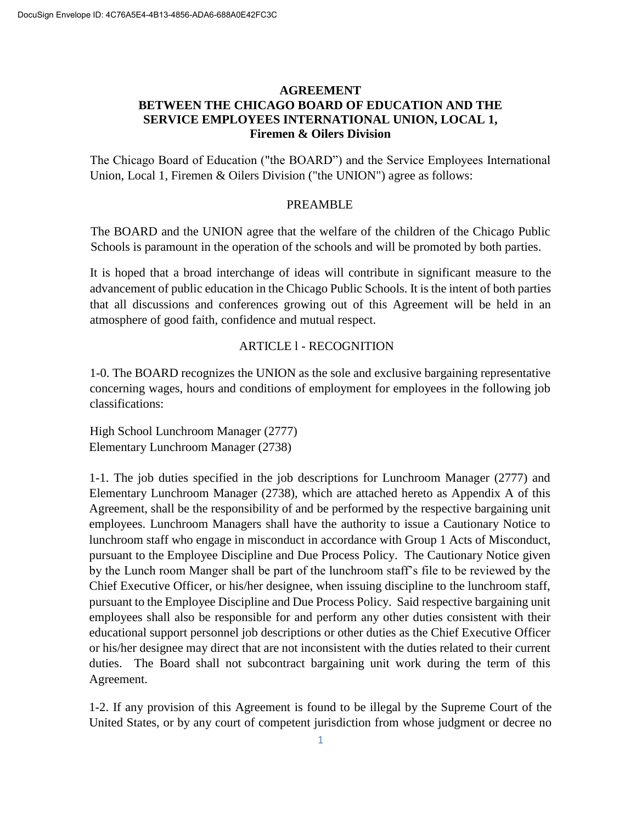# **AGREEMENT BETWEEN THE CHICAGO BOARD OF EDUCATION AND THE SERVICE EMPLOYEES INTERNATIONAL UNION, LOCAL 1, Firemen & Oilers Division**

The Chicago Board of Education ("the BOARD") and the Service Employees International Union, Local 1, Firemen & Oilers Division ("the UNION") agree as follows:

### PREAMBLE

The BOARD and the UNION agree that the welfare of the children of the Chicago Public Schools is paramount in the operation of the schools and will be promoted by both parties.

It is hoped that a broad interchange of ideas will contribute in significant measure to the advancement of public education in the Chicago Public Schools. It is the intent of both parties that all discussions and conferences growing out of this Agreement will be held in an atmosphere of good faith, confidence and mutual respect.

### ARTICLE l - RECOGNITION

1-0. The BOARD recognizes the UNION as the sole and exclusive bargaining representative concerning wages, hours and conditions of employment for employees in the following job classifications:

High School Lunchroom Manager (2777) Elementary Lunchroom Manager (2738)

1-1. The job duties specified in the job descriptions for Lunchroom Manager (2777) and Elementary Lunchroom Manager (2738), which are attached hereto as Appendix A of this Agreement, shall be the responsibility of and be performed by the respective bargaining unit employees. Lunchroom Managers shall have the authority to issue a Cautionary Notice to lunchroom staff who engage in misconduct in accordance with Group 1 Acts of Misconduct, pursuant to the Employee Discipline and Due Process Policy. The Cautionary Notice given by the Lunch room Manger shall be part of the lunchroom staff's file to be reviewed by the Chief Executive Officer, or his/her designee, when issuing discipline to the lunchroom staff, pursuant to the Employee Discipline and Due Process Policy. Said respective bargaining unit employees shall also be responsible for and perform any other duties consistent with their educational support personnel job descriptions or other duties as the Chief Executive Officer or his/her designee may direct that are not inconsistent with the duties related to their current duties. The Board shall not subcontract bargaining unit work during the term of this Agreement.

1-2. If any provision of this Agreement is found to be illegal by the Supreme Court of the United States, or by any court of competent jurisdiction from whose judgment or decree no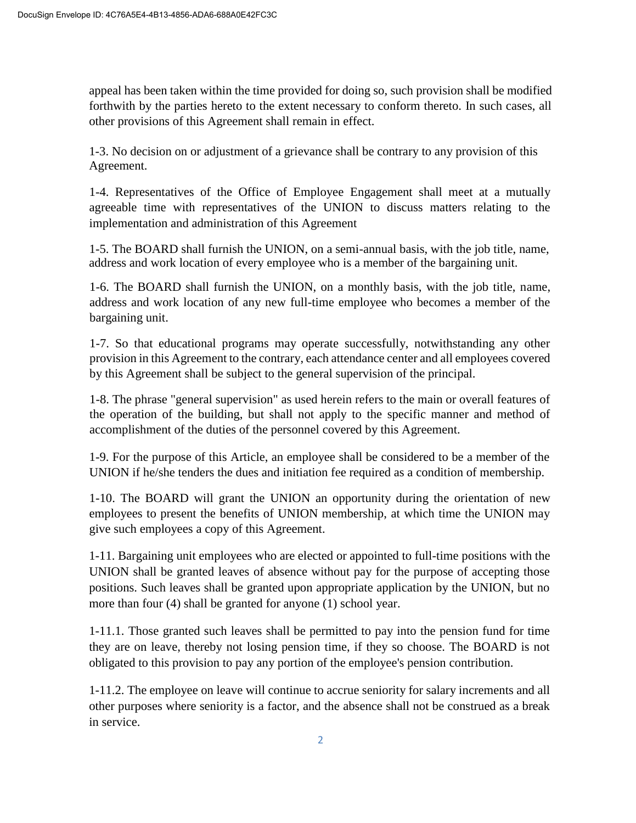appeal has been taken within the time provided for doing so, such provision shall be modified forthwith by the parties hereto to the extent necessary to conform thereto. In such cases, all other provisions of this Agreement shall remain in effect.

1-3. No decision on or adjustment of a grievance shall be contrary to any provision of this Agreement.

1-4. Representatives of the Office of Employee Engagement shall meet at a mutually agreeable time with representatives of the UNION to discuss matters relating to the implementation and administration of this Agreement

1-5. The BOARD shall furnish the UNION, on a semi-annual basis, with the job title, name, address and work location of every employee who is a member of the bargaining unit.

1-6. The BOARD shall furnish the UNION, on a monthly basis, with the job title, name, address and work location of any new full-time employee who becomes a member of the bargaining unit.

1-7. So that educational programs may operate successfully, notwithstanding any other provision in this Agreement to the contrary, each attendance center and all employees covered by this Agreement shall be subject to the general supervision of the principal.

1-8. The phrase "general supervision" as used herein refers to the main or overall features of the operation of the building, but shall not apply to the specific manner and method of accomplishment of the duties of the personnel covered by this Agreement.

1-9. For the purpose of this Article, an employee shall be considered to be a member of the UNION if he/she tenders the dues and initiation fee required as a condition of membership.

1-10. The BOARD will grant the UNION an opportunity during the orientation of new employees to present the benefits of UNION membership, at which time the UNION may give such employees a copy of this Agreement.

1-11. Bargaining unit employees who are elected or appointed to full-time positions with the UNION shall be granted leaves of absence without pay for the purpose of accepting those positions. Such leaves shall be granted upon appropriate application by the UNION, but no more than four (4) shall be granted for anyone (1) school year.

1-11.1. Those granted such leaves shall be permitted to pay into the pension fund for time they are on leave, thereby not losing pension time, if they so choose. The BOARD is not obligated to this provision to pay any portion of the employee's pension contribution.

1-11.2. The employee on leave will continue to accrue seniority for salary increments and all other purposes where seniority is a factor, and the absence shall not be construed as a break in service.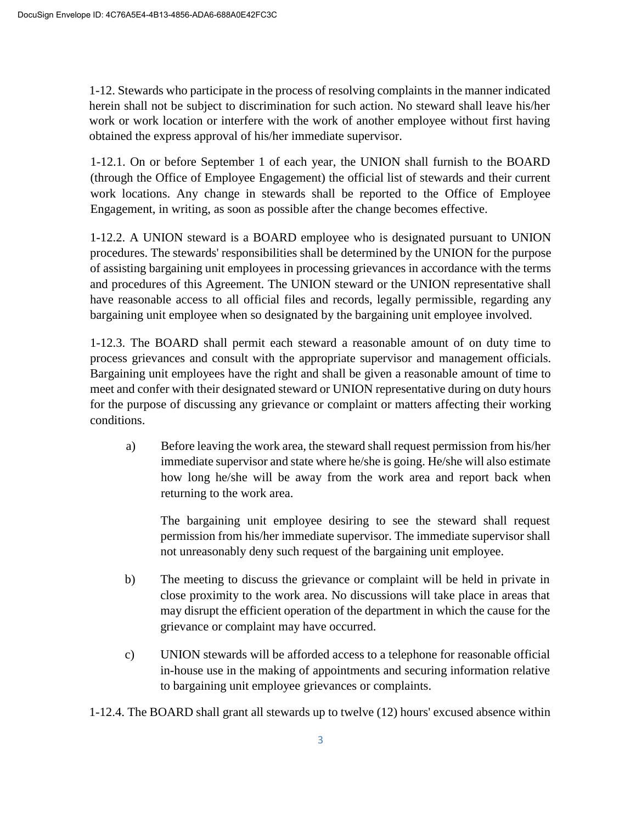1-12. Stewards who participate in the process of resolving complaints in the manner indicated herein shall not be subject to discrimination for such action. No steward shall leave his/her work or work location or interfere with the work of another employee without first having obtained the express approval of his/her immediate supervisor.

1-12.1. On or before September 1 of each year, the UNION shall furnish to the BOARD (through the Office of Employee Engagement) the official list of stewards and their current work locations. Any change in stewards shall be reported to the Office of Employee Engagement, in writing, as soon as possible after the change becomes effective.

1-12.2. A UNION steward is a BOARD employee who is designated pursuant to UNION procedures. The stewards' responsibilities shall be determined by the UNION for the purpose of assisting bargaining unit employees in processing grievances in accordance with the terms and procedures of this Agreement. The UNION steward or the UNION representative shall have reasonable access to all official files and records, legally permissible, regarding any bargaining unit employee when so designated by the bargaining unit employee involved.

1-12.3. The BOARD shall permit each steward a reasonable amount of on duty time to process grievances and consult with the appropriate supervisor and management officials. Bargaining unit employees have the right and shall be given a reasonable amount of time to meet and confer with their designated steward or UNION representative during on duty hours for the purpose of discussing any grievance or complaint or matters affecting their working conditions.

a) Before leaving the work area, the steward shall request permission from his/her immediate supervisor and state where he/she is going. He/she will also estimate how long he/she will be away from the work area and report back when returning to the work area.

The bargaining unit employee desiring to see the steward shall request permission from his/her immediate supervisor. The immediate supervisor shall not unreasonably deny such request of the bargaining unit employee.

- b) The meeting to discuss the grievance or complaint will be held in private in close proximity to the work area. No discussions will take place in areas that may disrupt the efficient operation of the department in which the cause for the grievance or complaint may have occurred.
- c) UNION stewards will be afforded access to a telephone for reasonable official in-house use in the making of appointments and securing information relative to bargaining unit employee grievances or complaints.

1-12.4. The BOARD shall grant all stewards up to twelve (12) hours' excused absence within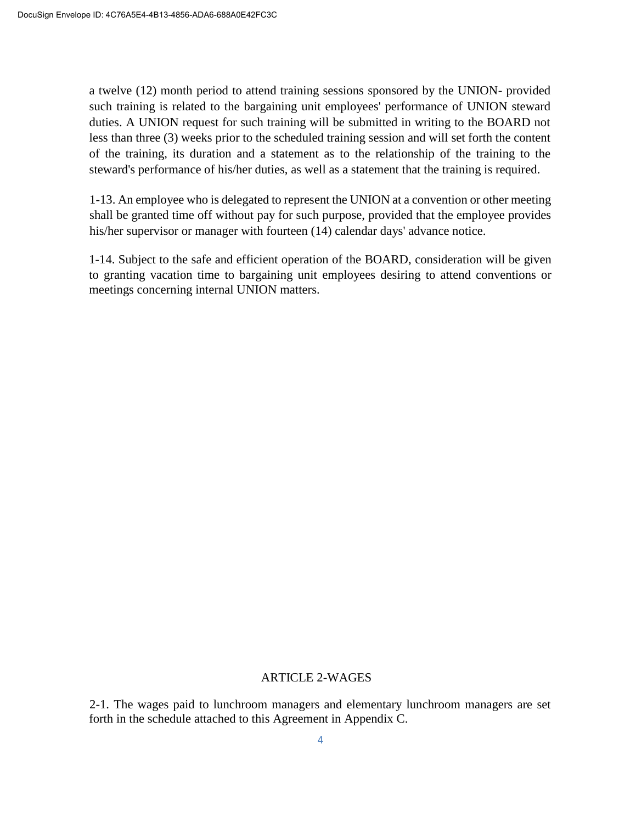a twelve (12) month period to attend training sessions sponsored by the UNION- provided such training is related to the bargaining unit employees' performance of UNION steward duties. A UNION request for such training will be submitted in writing to the BOARD not less than three (3) weeks prior to the scheduled training session and will set forth the content of the training, its duration and a statement as to the relationship of the training to the steward's performance of his/her duties, as well as a statement that the training is required.

1-13. An employee who is delegated to represent the UNION at a convention or other meeting shall be granted time off without pay for such purpose, provided that the employee provides his/her supervisor or manager with fourteen (14) calendar days' advance notice.

1-14. Subject to the safe and efficient operation of the BOARD, consideration will be given to granting vacation time to bargaining unit employees desiring to attend conventions or meetings concerning internal UNION matters.

#### ARTICLE 2-WAGES

2-1. The wages paid to lunchroom managers and elementary lunchroom managers are set forth in the schedule attached to this Agreement in Appendix C.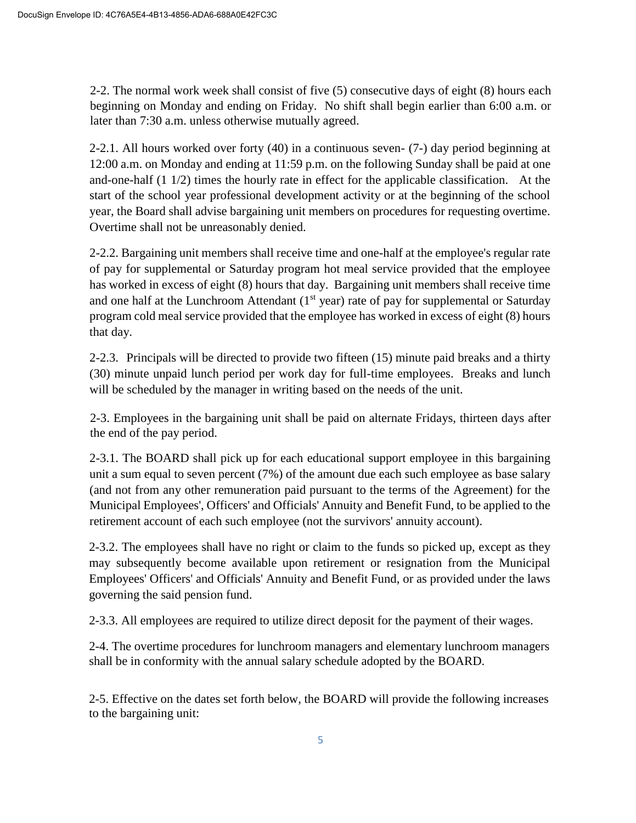2-2. The normal work week shall consist of five (5) consecutive days of eight (8) hours each beginning on Monday and ending on Friday. No shift shall begin earlier than 6:00 a.m. or later than 7:30 a.m. unless otherwise mutually agreed.

2-2.1. All hours worked over forty (40) in a continuous seven- (7-) day period beginning at 12:00 a.m. on Monday and ending at 11:59 p.m. on the following Sunday shall be paid at one and-one-half (1 1/2) times the hourly rate in effect for the applicable classification. At the start of the school year professional development activity or at the beginning of the school year, the Board shall advise bargaining unit members on procedures for requesting overtime. Overtime shall not be unreasonably denied.

2-2.2. Bargaining unit members shall receive time and one-half at the employee's regular rate of pay for supplemental or Saturday program hot meal service provided that the employee has worked in excess of eight (8) hours that day. Bargaining unit members shall receive time and one half at the Lunchroom Attendant  $(1<sup>st</sup>$  year) rate of pay for supplemental or Saturday program cold meal service provided that the employee has worked in excess of eight (8) hours that day.

2-2.3. Principals will be directed to provide two fifteen (15) minute paid breaks and a thirty (30) minute unpaid lunch period per work day for full-time employees. Breaks and lunch will be scheduled by the manager in writing based on the needs of the unit.

2-3. Employees in the bargaining unit shall be paid on alternate Fridays, thirteen days after the end of the pay period.

2-3.1. The BOARD shall pick up for each educational support employee in this bargaining unit a sum equal to seven percent (7%) of the amount due each such employee as base salary (and not from any other remuneration paid pursuant to the terms of the Agreement) for the Municipal Employees', Officers' and Officials' Annuity and Benefit Fund, to be applied to the retirement account of each such employee (not the survivors' annuity account).

2-3.2. The employees shall have no right or claim to the funds so picked up, except as they may subsequently become available upon retirement or resignation from the Municipal Employees' Officers' and Officials' Annuity and Benefit Fund, or as provided under the laws governing the said pension fund.

2-3.3. All employees are required to utilize direct deposit for the payment of their wages.

2-4. The overtime procedures for lunchroom managers and elementary lunchroom managers shall be in conformity with the annual salary schedule adopted by the BOARD.

2-5. Effective on the dates set forth below, the BOARD will provide the following increases to the bargaining unit: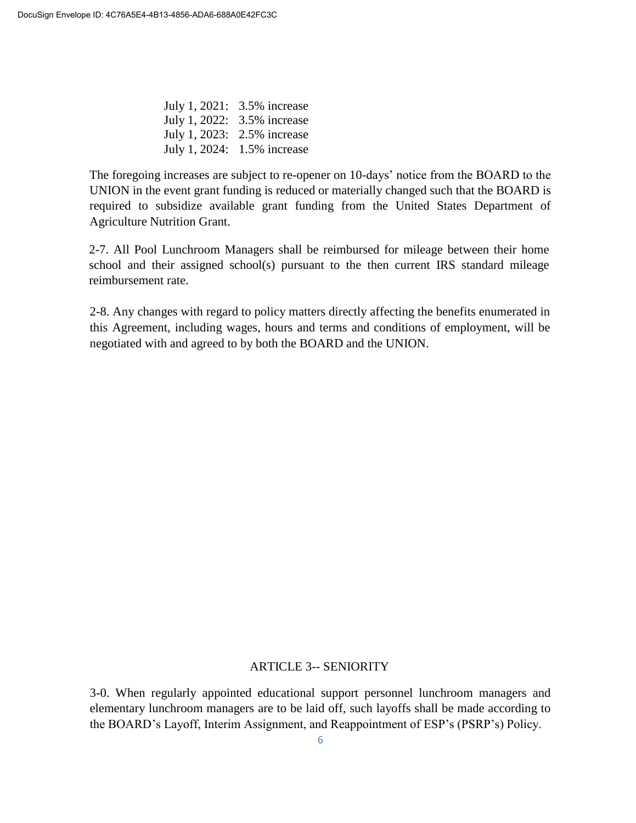July 1, 2021: 3.5% increase July 1, 2022: 3.5% increase July 1, 2023: 2.5% increase July 1, 2024: 1.5% increase

The foregoing increases are subject to re-opener on 10-days' notice from the BOARD to the UNION in the event grant funding is reduced or materially changed such that the BOARD is required to subsidize available grant funding from the United States Department of Agriculture Nutrition Grant.

2-7. All Pool Lunchroom Managers shall be reimbursed for mileage between their home school and their assigned school(s) pursuant to the then current IRS standard mileage reimbursement rate.

2-8. Any changes with regard to policy matters directly affecting the benefits enumerated in this Agreement, including wages, hours and terms and conditions of employment, will be negotiated with and agreed to by both the BOARD and the UNION.

#### ARTICLE 3-- SENIORITY

3-0. When regularly appointed educational support personnel lunchroom managers and elementary lunchroom managers are to be laid off, such layoffs shall be made according to the BOARD's Layoff, Interim Assignment, and Reappointment of ESP's (PSRP's) Policy.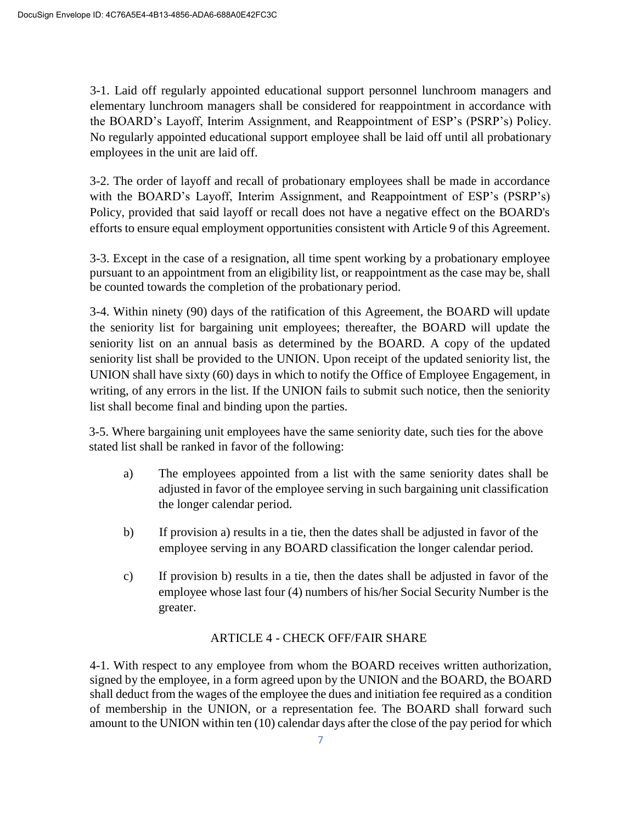3-1. Laid off regularly appointed educational support personnel lunchroom managers and elementary lunchroom managers shall be considered for reappointment in accordance with the BOARD's Layoff, Interim Assignment, and Reappointment of ESP's (PSRP's) Policy. No regularly appointed educational support employee shall be laid off until all probationary employees in the unit are laid off.

3-2. The order of layoff and recall of probationary employees shall be made in accordance with the BOARD's Layoff, Interim Assignment, and Reappointment of ESP's (PSRP's) Policy, provided that said layoff or recall does not have a negative effect on the BOARD's efforts to ensure equal employment opportunities consistent with Article 9 of this Agreement.

3-3. Except in the case of a resignation, all time spent working by a probationary employee pursuant to an appointment from an eligibility list, or reappointment as the case may be, shall be counted towards the completion of the probationary period.

3-4. Within ninety (90) days of the ratification of this Agreement, the BOARD will update the seniority list for bargaining unit employees; thereafter, the BOARD will update the seniority list on an annual basis as determined by the BOARD. A copy of the updated seniority list shall be provided to the UNION. Upon receipt of the updated seniority list, the UNION shall have sixty (60) days in which to notify the Office of Employee Engagement, in writing, of any errors in the list. If the UNION fails to submit such notice, then the seniority list shall become final and binding upon the parties.

3-5. Where bargaining unit employees have the same seniority date, such ties for the above stated list shall be ranked in favor of the following:

- a) The employees appointed from a list with the same seniority dates shall be adjusted in favor of the employee serving in such bargaining unit classification the longer calendar period.
- b) If provision a) results in a tie, then the dates shall be adjusted in favor of the employee serving in any BOARD classification the longer calendar period.
- c) If provision b) results in a tie, then the dates shall be adjusted in favor of the employee whose last four (4) numbers of his/her Social Security Number is the greater.

# ARTICLE 4 - CHECK OFF/FAIR SHARE

4-1. With respect to any employee from whom the BOARD receives written authorization, signed by the employee, in a form agreed upon by the UNION and the BOARD, the BOARD shall deduct from the wages of the employee the dues and initiation fee required as a condition of membership in the UNION, or a representation fee. The BOARD shall forward such amount to the UNION within ten (10) calendar days after the close of the pay period for which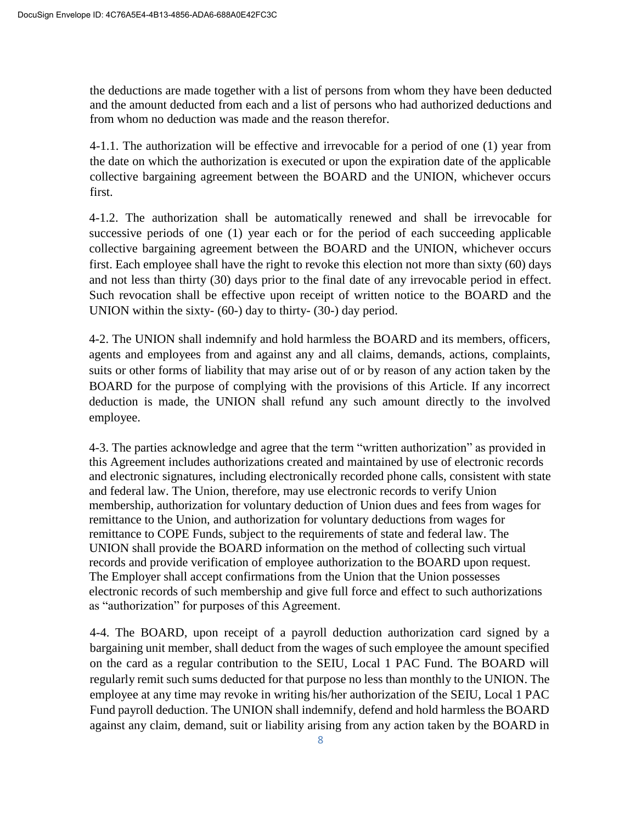the deductions are made together with a list of persons from whom they have been deducted and the amount deducted from each and a list of persons who had authorized deductions and from whom no deduction was made and the reason therefor.

4-1.1. The authorization will be effective and irrevocable for a period of one (1) year from the date on which the authorization is executed or upon the expiration date of the applicable collective bargaining agreement between the BOARD and the UNION, whichever occurs first.

4-1.2. The authorization shall be automatically renewed and shall be irrevocable for successive periods of one (1) year each or for the period of each succeeding applicable collective bargaining agreement between the BOARD and the UNION, whichever occurs first. Each employee shall have the right to revoke this election not more than sixty (60) days and not less than thirty (30) days prior to the final date of any irrevocable period in effect. Such revocation shall be effective upon receipt of written notice to the BOARD and the UNION within the sixty- (60-) day to thirty- (30-) day period.

4-2. The UNION shall indemnify and hold harmless the BOARD and its members, officers, agents and employees from and against any and all claims, demands, actions, complaints, suits or other forms of liability that may arise out of or by reason of any action taken by the BOARD for the purpose of complying with the provisions of this Article. If any incorrect deduction is made, the UNION shall refund any such amount directly to the involved employee.

4-3. The parties acknowledge and agree that the term "written authorization" as provided in this Agreement includes authorizations created and maintained by use of electronic records and electronic signatures, including electronically recorded phone calls, consistent with state and federal law. The Union, therefore, may use electronic records to verify Union membership, authorization for voluntary deduction of Union dues and fees from wages for remittance to the Union, and authorization for voluntary deductions from wages for remittance to COPE Funds, subject to the requirements of state and federal law. The UNION shall provide the BOARD information on the method of collecting such virtual records and provide verification of employee authorization to the BOARD upon request. The Employer shall accept confirmations from the Union that the Union possesses electronic records of such membership and give full force and effect to such authorizations as "authorization" for purposes of this Agreement.

4-4. The BOARD, upon receipt of a payroll deduction authorization card signed by a bargaining unit member, shall deduct from the wages of such employee the amount specified on the card as a regular contribution to the SEIU, Local 1 PAC Fund. The BOARD will regularly remit such sums deducted for that purpose no less than monthly to the UNION. The employee at any time may revoke in writing his/her authorization of the SEIU, Local 1 PAC Fund payroll deduction. The UNION shall indemnify, defend and hold harmless the BOARD against any claim, demand, suit or liability arising from any action taken by the BOARD in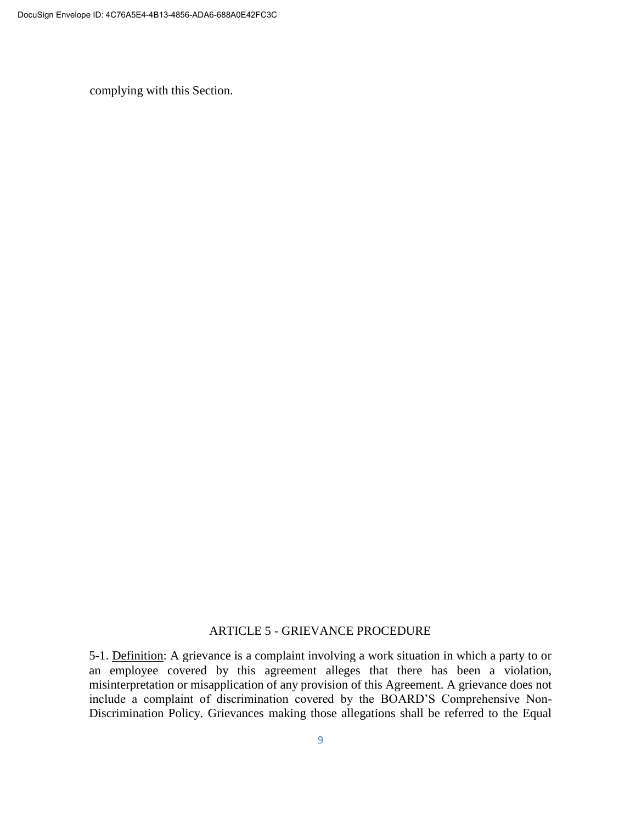complying with this Section.

#### ARTICLE 5 - GRIEVANCE PROCEDURE

5-1. Definition: A grievance is a complaint involving a work situation in which a party to or an employee covered by this agreement alleges that there has been a violation, misinterpretation or misapplication of any provision of this Agreement. A grievance does not include a complaint of discrimination covered by the BOARD'S Comprehensive Non-Discrimination Policy. Grievances making those allegations shall be referred to the Equal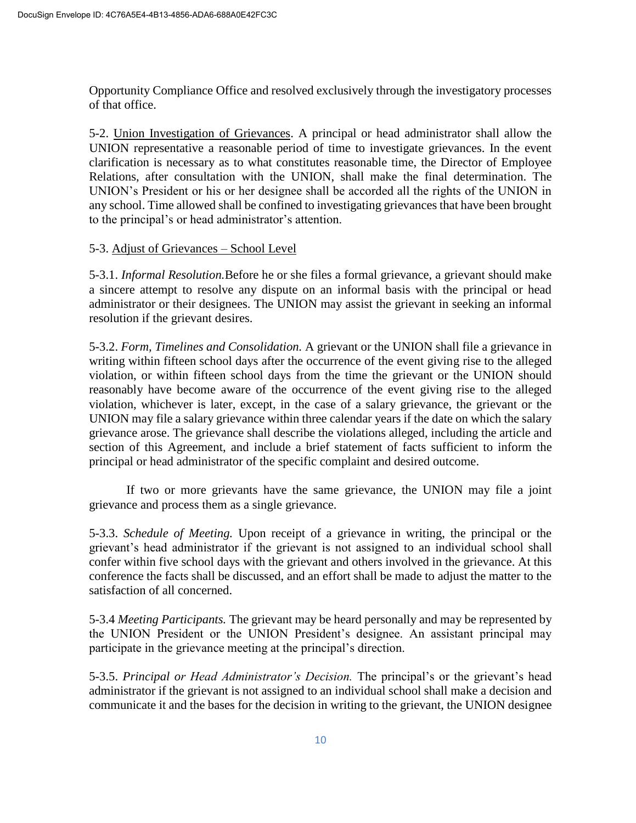Opportunity Compliance Office and resolved exclusively through the investigatory processes of that office.

5-2. Union Investigation of Grievances. A principal or head administrator shall allow the UNION representative a reasonable period of time to investigate grievances. In the event clarification is necessary as to what constitutes reasonable time, the Director of Employee Relations, after consultation with the UNION, shall make the final determination. The UNION's President or his or her designee shall be accorded all the rights of the UNION in any school. Time allowed shall be confined to investigating grievances that have been brought to the principal's or head administrator's attention.

# 5-3. Adjust of Grievances – School Level

5-3.1. *Informal Resolution.*Before he or she files a formal grievance, a grievant should make a sincere attempt to resolve any dispute on an informal basis with the principal or head administrator or their designees. The UNION may assist the grievant in seeking an informal resolution if the grievant desires.

5-3.2. *Form, Timelines and Consolidation.* A grievant or the UNION shall file a grievance in writing within fifteen school days after the occurrence of the event giving rise to the alleged violation, or within fifteen school days from the time the grievant or the UNION should reasonably have become aware of the occurrence of the event giving rise to the alleged violation, whichever is later, except, in the case of a salary grievance, the grievant or the UNION may file a salary grievance within three calendar years if the date on which the salary grievance arose. The grievance shall describe the violations alleged, including the article and section of this Agreement, and include a brief statement of facts sufficient to inform the principal or head administrator of the specific complaint and desired outcome.

If two or more grievants have the same grievance, the UNION may file a joint grievance and process them as a single grievance.

5-3.3. *Schedule of Meeting.* Upon receipt of a grievance in writing, the principal or the grievant's head administrator if the grievant is not assigned to an individual school shall confer within five school days with the grievant and others involved in the grievance. At this conference the facts shall be discussed, and an effort shall be made to adjust the matter to the satisfaction of all concerned.

5-3.4 *Meeting Participants.* The grievant may be heard personally and may be represented by the UNION President or the UNION President's designee. An assistant principal may participate in the grievance meeting at the principal's direction.

5-3.5. *Principal or Head Administrator's Decision.* The principal's or the grievant's head administrator if the grievant is not assigned to an individual school shall make a decision and communicate it and the bases for the decision in writing to the grievant, the UNION designee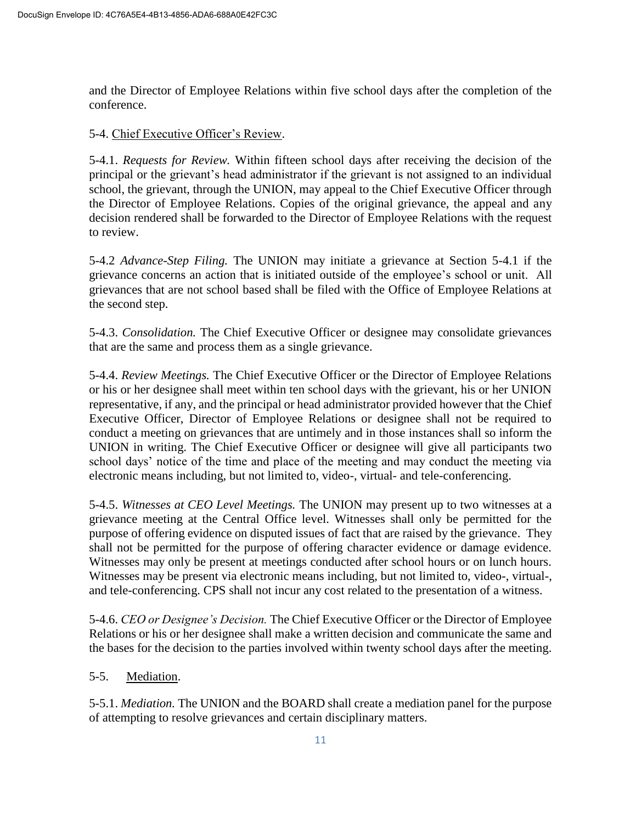and the Director of Employee Relations within five school days after the completion of the conference.

### 5-4. Chief Executive Officer's Review.

5-4.1. *Requests for Review.* Within fifteen school days after receiving the decision of the principal or the grievant's head administrator if the grievant is not assigned to an individual school, the grievant, through the UNION, may appeal to the Chief Executive Officer through the Director of Employee Relations. Copies of the original grievance, the appeal and any decision rendered shall be forwarded to the Director of Employee Relations with the request to review.

5-4.2 *Advance-Step Filing.* The UNION may initiate a grievance at Section 5-4.1 if the grievance concerns an action that is initiated outside of the employee's school or unit. All grievances that are not school based shall be filed with the Office of Employee Relations at the second step.

5-4.3. *Consolidation.* The Chief Executive Officer or designee may consolidate grievances that are the same and process them as a single grievance.

5-4.4. *Review Meetings.* The Chief Executive Officer or the Director of Employee Relations or his or her designee shall meet within ten school days with the grievant, his or her UNION representative, if any, and the principal or head administrator provided however that the Chief Executive Officer, Director of Employee Relations or designee shall not be required to conduct a meeting on grievances that are untimely and in those instances shall so inform the UNION in writing. The Chief Executive Officer or designee will give all participants two school days' notice of the time and place of the meeting and may conduct the meeting via electronic means including, but not limited to, video-, virtual- and tele-conferencing.

5-4.5. *Witnesses at CEO Level Meetings.* The UNION may present up to two witnesses at a grievance meeting at the Central Office level. Witnesses shall only be permitted for the purpose of offering evidence on disputed issues of fact that are raised by the grievance. They shall not be permitted for the purpose of offering character evidence or damage evidence. Witnesses may only be present at meetings conducted after school hours or on lunch hours. Witnesses may be present via electronic means including, but not limited to, video-, virtual-, and tele-conferencing. CPS shall not incur any cost related to the presentation of a witness.

5-4.6. *CEO or Designee's Decision.* The Chief Executive Officer or the Director of Employee Relations or his or her designee shall make a written decision and communicate the same and the bases for the decision to the parties involved within twenty school days after the meeting.

# 5-5. Mediation.

5-5.1. *Mediation.* The UNION and the BOARD shall create a mediation panel for the purpose of attempting to resolve grievances and certain disciplinary matters.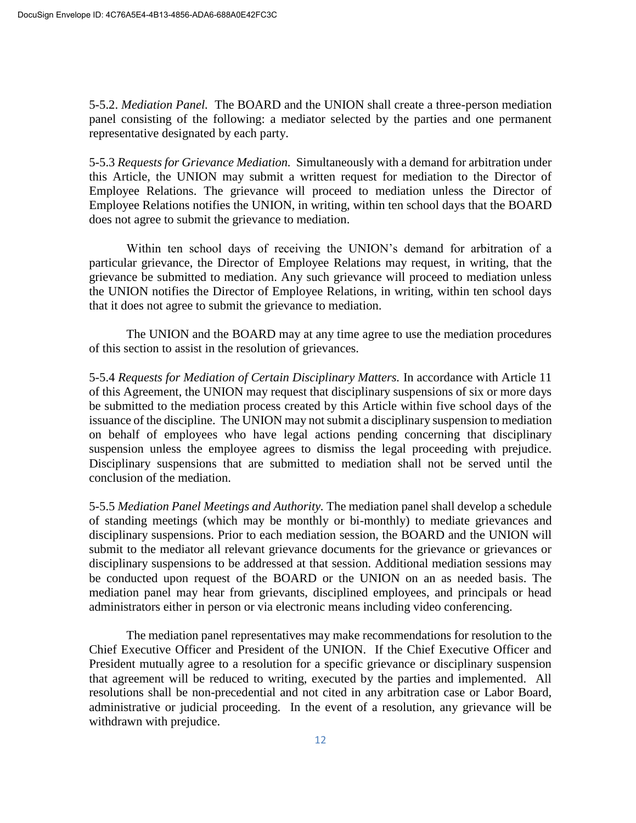5-5.2. *Mediation Panel.* The BOARD and the UNION shall create a three-person mediation panel consisting of the following: a mediator selected by the parties and one permanent representative designated by each party.

5-5.3 *Requests for Grievance Mediation.* Simultaneously with a demand for arbitration under this Article, the UNION may submit a written request for mediation to the Director of Employee Relations. The grievance will proceed to mediation unless the Director of Employee Relations notifies the UNION, in writing, within ten school days that the BOARD does not agree to submit the grievance to mediation.

Within ten school days of receiving the UNION's demand for arbitration of a particular grievance, the Director of Employee Relations may request, in writing, that the grievance be submitted to mediation. Any such grievance will proceed to mediation unless the UNION notifies the Director of Employee Relations, in writing, within ten school days that it does not agree to submit the grievance to mediation.

The UNION and the BOARD may at any time agree to use the mediation procedures of this section to assist in the resolution of grievances.

5-5.4 *Requests for Mediation of Certain Disciplinary Matters.* In accordance with Article 11 of this Agreement, the UNION may request that disciplinary suspensions of six or more days be submitted to the mediation process created by this Article within five school days of the issuance of the discipline. The UNION may not submit a disciplinary suspension to mediation on behalf of employees who have legal actions pending concerning that disciplinary suspension unless the employee agrees to dismiss the legal proceeding with prejudice. Disciplinary suspensions that are submitted to mediation shall not be served until the conclusion of the mediation.

5-5.5 *Mediation Panel Meetings and Authority.* The mediation panel shall develop a schedule of standing meetings (which may be monthly or bi-monthly) to mediate grievances and disciplinary suspensions. Prior to each mediation session, the BOARD and the UNION will submit to the mediator all relevant grievance documents for the grievance or grievances or disciplinary suspensions to be addressed at that session. Additional mediation sessions may be conducted upon request of the BOARD or the UNION on an as needed basis. The mediation panel may hear from grievants, disciplined employees, and principals or head administrators either in person or via electronic means including video conferencing.

The mediation panel representatives may make recommendations for resolution to the Chief Executive Officer and President of the UNION. If the Chief Executive Officer and President mutually agree to a resolution for a specific grievance or disciplinary suspension that agreement will be reduced to writing, executed by the parties and implemented. All resolutions shall be non-precedential and not cited in any arbitration case or Labor Board, administrative or judicial proceeding. In the event of a resolution, any grievance will be withdrawn with prejudice.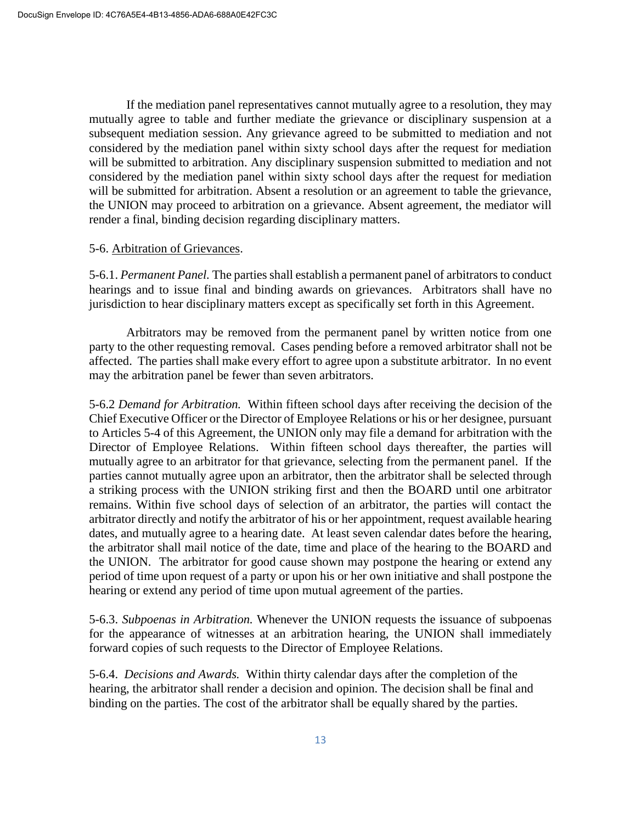If the mediation panel representatives cannot mutually agree to a resolution, they may mutually agree to table and further mediate the grievance or disciplinary suspension at a subsequent mediation session. Any grievance agreed to be submitted to mediation and not considered by the mediation panel within sixty school days after the request for mediation will be submitted to arbitration. Any disciplinary suspension submitted to mediation and not considered by the mediation panel within sixty school days after the request for mediation will be submitted for arbitration. Absent a resolution or an agreement to table the grievance, the UNION may proceed to arbitration on a grievance. Absent agreement, the mediator will render a final, binding decision regarding disciplinary matters.

#### 5-6. Arbitration of Grievances.

5-6.1. *Permanent Panel.* The parties shall establish a permanent panel of arbitrators to conduct hearings and to issue final and binding awards on grievances. Arbitrators shall have no jurisdiction to hear disciplinary matters except as specifically set forth in this Agreement.

Arbitrators may be removed from the permanent panel by written notice from one party to the other requesting removal. Cases pending before a removed arbitrator shall not be affected. The parties shall make every effort to agree upon a substitute arbitrator. In no event may the arbitration panel be fewer than seven arbitrators.

5-6.2 *Demand for Arbitration.* Within fifteen school days after receiving the decision of the Chief Executive Officer or the Director of Employee Relations or his or her designee, pursuant to Articles 5-4 of this Agreement, the UNION only may file a demand for arbitration with the Director of Employee Relations. Within fifteen school days thereafter, the parties will mutually agree to an arbitrator for that grievance, selecting from the permanent panel. If the parties cannot mutually agree upon an arbitrator, then the arbitrator shall be selected through a striking process with the UNION striking first and then the BOARD until one arbitrator remains. Within five school days of selection of an arbitrator, the parties will contact the arbitrator directly and notify the arbitrator of his or her appointment, request available hearing dates, and mutually agree to a hearing date. At least seven calendar dates before the hearing, the arbitrator shall mail notice of the date, time and place of the hearing to the BOARD and the UNION. The arbitrator for good cause shown may postpone the hearing or extend any period of time upon request of a party or upon his or her own initiative and shall postpone the hearing or extend any period of time upon mutual agreement of the parties.

5-6.3. *Subpoenas in Arbitration.* Whenever the UNION requests the issuance of subpoenas for the appearance of witnesses at an arbitration hearing, the UNION shall immediately forward copies of such requests to the Director of Employee Relations.

5-6.4. *Decisions and Awards.* Within thirty calendar days after the completion of the hearing, the arbitrator shall render a decision and opinion. The decision shall be final and binding on the parties. The cost of the arbitrator shall be equally shared by the parties.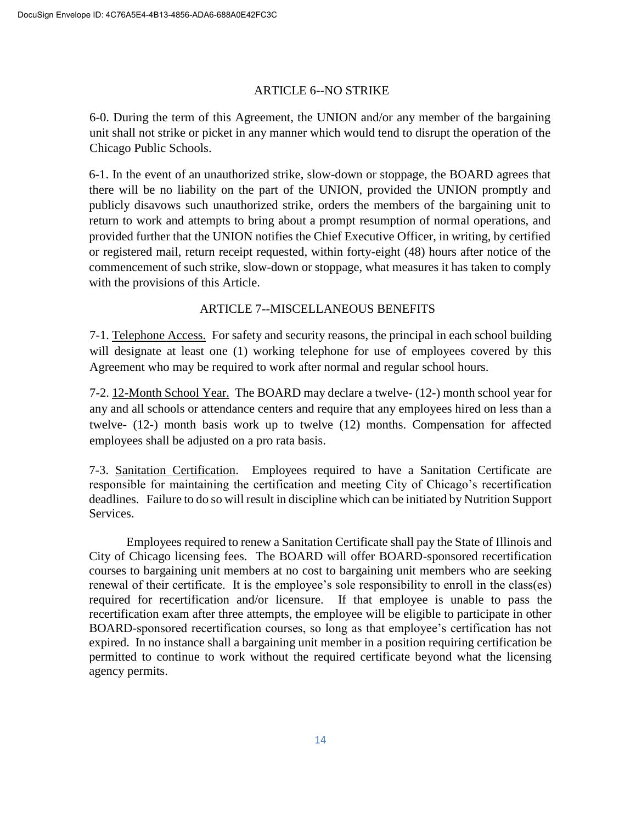# ARTICLE 6--NO STRIKE

6-0. During the term of this Agreement, the UNION and/or any member of the bargaining unit shall not strike or picket in any manner which would tend to disrupt the operation of the Chicago Public Schools.

6-1. In the event of an unauthorized strike, slow-down or stoppage, the BOARD agrees that there will be no liability on the part of the UNION, provided the UNION promptly and publicly disavows such unauthorized strike, orders the members of the bargaining unit to return to work and attempts to bring about a prompt resumption of normal operations, and provided further that the UNION notifies the Chief Executive Officer, in writing, by certified or registered mail, return receipt requested, within forty-eight (48) hours after notice of the commencement of such strike, slow-down or stoppage, what measures it has taken to comply with the provisions of this Article.

# ARTICLE 7--MISCELLANEOUS BENEFITS

7-1. Telephone Access. For safety and security reasons, the principal in each school building will designate at least one (1) working telephone for use of employees covered by this Agreement who may be required to work after normal and regular school hours.

7-2. 12-Month School Year. The BOARD may declare a twelve- (12-) month school year for any and all schools or attendance centers and require that any employees hired on less than a twelve- (12-) month basis work up to twelve (12) months. Compensation for affected employees shall be adjusted on a pro rata basis.

7-3. Sanitation Certification. Employees required to have a Sanitation Certificate are responsible for maintaining the certification and meeting City of Chicago's recertification deadlines. Failure to do so will result in discipline which can be initiated by Nutrition Support Services.

Employees required to renew a Sanitation Certificate shall pay the State of Illinois and City of Chicago licensing fees. The BOARD will offer BOARD-sponsored recertification courses to bargaining unit members at no cost to bargaining unit members who are seeking renewal of their certificate. It is the employee's sole responsibility to enroll in the class(es) required for recertification and/or licensure. If that employee is unable to pass the recertification exam after three attempts, the employee will be eligible to participate in other BOARD-sponsored recertification courses, so long as that employee's certification has not expired. In no instance shall a bargaining unit member in a position requiring certification be permitted to continue to work without the required certificate beyond what the licensing agency permits.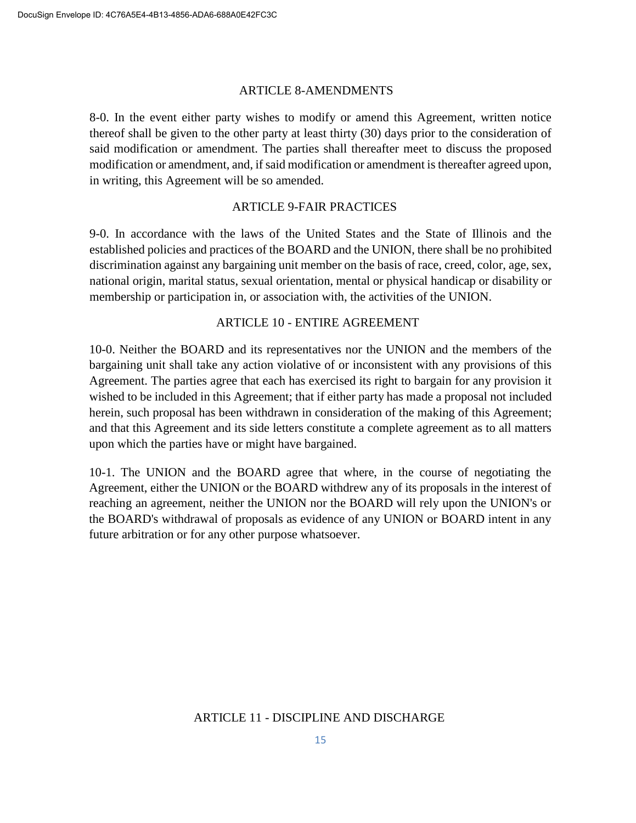#### ARTICLE 8-AMENDMENTS

8-0. In the event either party wishes to modify or amend this Agreement, written notice thereof shall be given to the other party at least thirty (30) days prior to the consideration of said modification or amendment. The parties shall thereafter meet to discuss the proposed modification or amendment, and, if said modification or amendment is thereafter agreed upon, in writing, this Agreement will be so amended.

### ARTICLE 9-FAIR PRACTICES

9-0. In accordance with the laws of the United States and the State of Illinois and the established policies and practices of the BOARD and the UNION, there shall be no prohibited discrimination against any bargaining unit member on the basis of race, creed, color, age, sex, national origin, marital status, sexual orientation, mental or physical handicap or disability or membership or participation in, or association with, the activities of the UNION.

### ARTICLE 10 - ENTIRE AGREEMENT

10-0. Neither the BOARD and its representatives nor the UNION and the members of the bargaining unit shall take any action violative of or inconsistent with any provisions of this Agreement. The parties agree that each has exercised its right to bargain for any provision it wished to be included in this Agreement; that if either party has made a proposal not included herein, such proposal has been withdrawn in consideration of the making of this Agreement; and that this Agreement and its side letters constitute a complete agreement as to all matters upon which the parties have or might have bargained.

10-1. The UNION and the BOARD agree that where, in the course of negotiating the Agreement, either the UNION or the BOARD withdrew any of its proposals in the interest of reaching an agreement, neither the UNION nor the BOARD will rely upon the UNION's or the BOARD's withdrawal of proposals as evidence of any UNION or BOARD intent in any future arbitration or for any other purpose whatsoever.

### ARTICLE 11 - DISCIPLINE AND DISCHARGE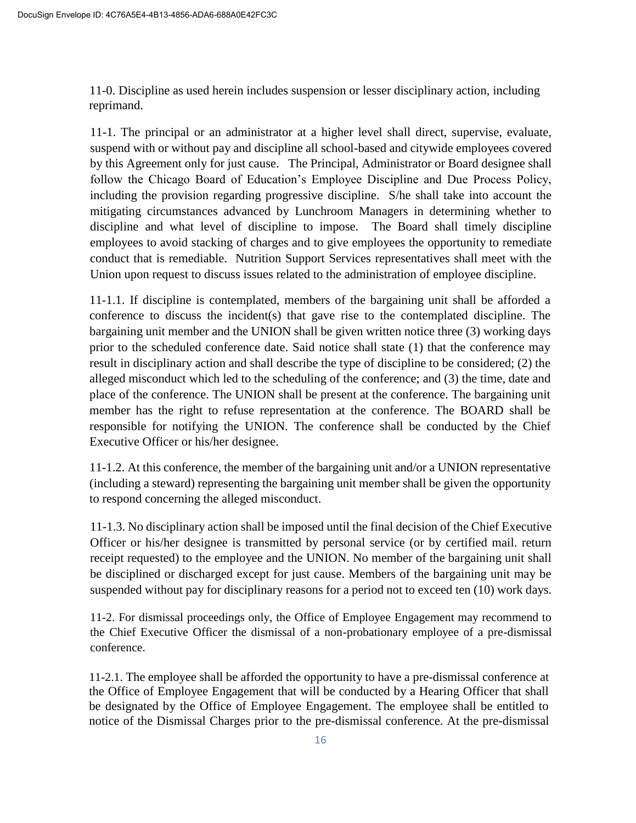11-0. Discipline as used herein includes suspension or lesser disciplinary action, including reprimand.

11-1. The principal or an administrator at a higher level shall direct, supervise, evaluate, suspend with or without pay and discipline all school-based and citywide employees covered by this Agreement only for just cause. The Principal, Administrator or Board designee shall follow the Chicago Board of Education's Employee Discipline and Due Process Policy, including the provision regarding progressive discipline. S/he shall take into account the mitigating circumstances advanced by Lunchroom Managers in determining whether to discipline and what level of discipline to impose. The Board shall timely discipline employees to avoid stacking of charges and to give employees the opportunity to remediate conduct that is remediable. Nutrition Support Services representatives shall meet with the Union upon request to discuss issues related to the administration of employee discipline.

11-1.1. If discipline is contemplated, members of the bargaining unit shall be afforded a conference to discuss the incident(s) that gave rise to the contemplated discipline. The bargaining unit member and the UNION shall be given written notice three (3) working days prior to the scheduled conference date. Said notice shall state (1) that the conference may result in disciplinary action and shall describe the type of discipline to be considered; (2) the alleged misconduct which led to the scheduling of the conference; and (3) the time, date and place of the conference. The UNION shall be present at the conference. The bargaining unit member has the right to refuse representation at the conference. The BOARD shall be responsible for notifying the UNION. The conference shall be conducted by the Chief Executive Officer or his/her designee.

11-1.2. At this conference, the member of the bargaining unit and/or a UNION representative (including a steward) representing the bargaining unit member shall be given the opportunity to respond concerning the alleged misconduct.

11-1.3. No disciplinary action shall be imposed until the final decision of the Chief Executive Officer or his/her designee is transmitted by personal service (or by certified mail. return receipt requested) to the employee and the UNION. No member of the bargaining unit shall be disciplined or discharged except for just cause. Members of the bargaining unit may be suspended without pay for disciplinary reasons for a period not to exceed ten (10) work days.

11-2. For dismissal proceedings only, the Office of Employee Engagement may recommend to the Chief Executive Officer the dismissal of a non-probationary employee of a pre-dismissal conference.

11-2.1. The employee shall be afforded the opportunity to have a pre-dismissal conference at the Office of Employee Engagement that will be conducted by a Hearing Officer that shall be designated by the Office of Employee Engagement. The employee shall be entitled to notice of the Dismissal Charges prior to the pre-dismissal conference. At the pre-dismissal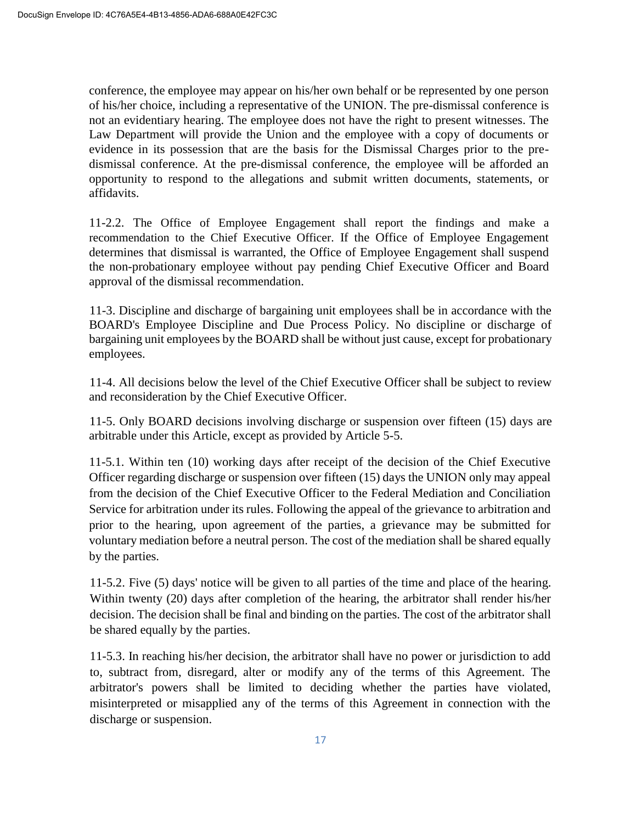conference, the employee may appear on his/her own behalf or be represented by one person of his/her choice, including a representative of the UNION. The pre-dismissal conference is not an evidentiary hearing. The employee does not have the right to present witnesses. The Law Department will provide the Union and the employee with a copy of documents or evidence in its possession that are the basis for the Dismissal Charges prior to the predismissal conference. At the pre-dismissal conference, the employee will be afforded an opportunity to respond to the allegations and submit written documents, statements, or affidavits.

11-2.2. The Office of Employee Engagement shall report the findings and make a recommendation to the Chief Executive Officer. If the Office of Employee Engagement determines that dismissal is warranted, the Office of Employee Engagement shall suspend the non-probationary employee without pay pending Chief Executive Officer and Board approval of the dismissal recommendation.

11-3. Discipline and discharge of bargaining unit employees shall be in accordance with the BOARD's Employee Discipline and Due Process Policy. No discipline or discharge of bargaining unit employees by the BOARD shall be without just cause, except for probationary employees.

11-4. All decisions below the level of the Chief Executive Officer shall be subject to review and reconsideration by the Chief Executive Officer.

11-5. Only BOARD decisions involving discharge or suspension over fifteen (15) days are arbitrable under this Article, except as provided by Article 5-5.

11-5.1. Within ten (10) working days after receipt of the decision of the Chief Executive Officer regarding discharge or suspension over fifteen (15) days the UNION only may appeal from the decision of the Chief Executive Officer to the Federal Mediation and Conciliation Service for arbitration under its rules. Following the appeal of the grievance to arbitration and prior to the hearing, upon agreement of the parties, a grievance may be submitted for voluntary mediation before a neutral person. The cost of the mediation shall be shared equally by the parties.

11-5.2. Five (5) days' notice will be given to all parties of the time and place of the hearing. Within twenty (20) days after completion of the hearing, the arbitrator shall render his/her decision. The decision shall be final and binding on the parties. The cost of the arbitrator shall be shared equally by the parties.

11-5.3. In reaching his/her decision, the arbitrator shall have no power or jurisdiction to add to, subtract from, disregard, alter or modify any of the terms of this Agreement. The arbitrator's powers shall be limited to deciding whether the parties have violated, misinterpreted or misapplied any of the terms of this Agreement in connection with the discharge or suspension.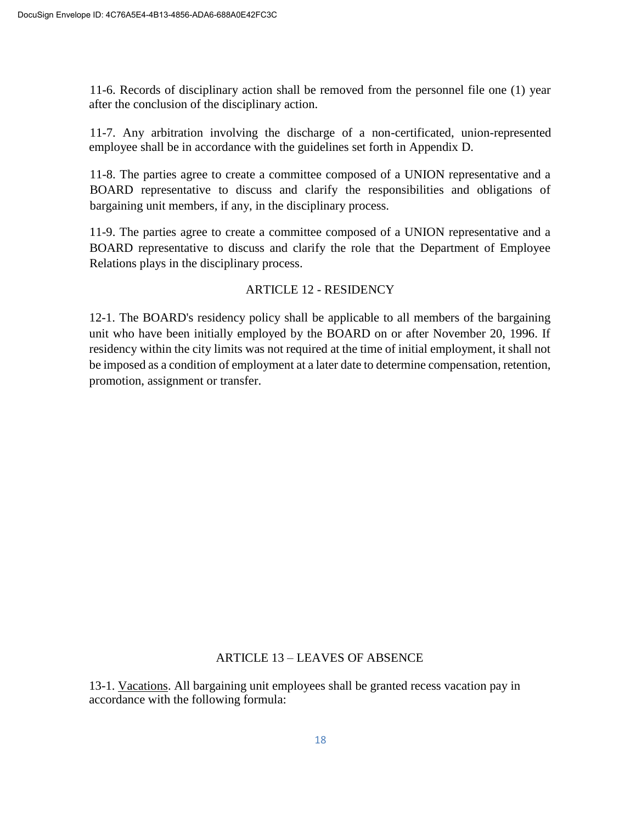11-6. Records of disciplinary action shall be removed from the personnel file one (1) year after the conclusion of the disciplinary action.

11-7. Any arbitration involving the discharge of a non-certificated, union-represented employee shall be in accordance with the guidelines set forth in Appendix D.

11-8. The parties agree to create a committee composed of a UNION representative and a BOARD representative to discuss and clarify the responsibilities and obligations of bargaining unit members, if any, in the disciplinary process.

11-9. The parties agree to create a committee composed of a UNION representative and a BOARD representative to discuss and clarify the role that the Department of Employee Relations plays in the disciplinary process.

# ARTICLE 12 - RESIDENCY

12-1. The BOARD's residency policy shall be applicable to all members of the bargaining unit who have been initially employed by the BOARD on or after November 20, 1996. If residency within the city limits was not required at the time of initial employment, it shall not be imposed as a condition of employment at a later date to determine compensation, retention, promotion, assignment or transfer.

# ARTICLE 13 – LEAVES OF ABSENCE

13-1. Vacations. All bargaining unit employees shall be granted recess vacation pay in accordance with the following formula: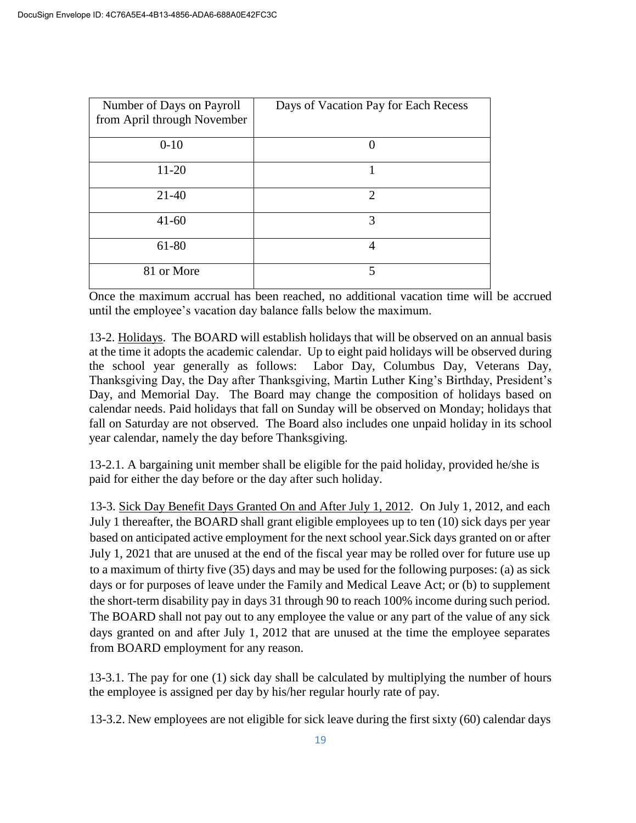| Number of Days on Payroll<br>from April through November | Days of Vacation Pay for Each Recess |
|----------------------------------------------------------|--------------------------------------|
| $0-10$                                                   | $\left( \right)$                     |
| 11-20                                                    |                                      |
| $21-40$                                                  | $\overline{2}$                       |
| $41 - 60$                                                | 3                                    |
| 61-80                                                    | 4                                    |
| 81 or More                                               | 5                                    |

Once the maximum accrual has been reached, no additional vacation time will be accrued until the employee's vacation day balance falls below the maximum.

13-2. Holidays. The BOARD will establish holidays that will be observed on an annual basis at the time it adopts the academic calendar. Up to eight paid holidays will be observed during the school year generally as follows: Labor Day, Columbus Day, Veterans Day, Thanksgiving Day, the Day after Thanksgiving, Martin Luther King's Birthday, President's Day, and Memorial Day. The Board may change the composition of holidays based on calendar needs. Paid holidays that fall on Sunday will be observed on Monday; holidays that fall on Saturday are not observed. The Board also includes one unpaid holiday in its school year calendar, namely the day before Thanksgiving.

13-2.1. A bargaining unit member shall be eligible for the paid holiday, provided he/she is paid for either the day before or the day after such holiday.

13-3. Sick Day Benefit Days Granted On and After July 1, 2012. On July 1, 2012, and each July 1 thereafter, the BOARD shall grant eligible employees up to ten (10) sick days per year based on anticipated active employment for the next school year.Sick days granted on or after July 1, 2021 that are unused at the end of the fiscal year may be rolled over for future use up to a maximum of thirty five (35) days and may be used for the following purposes: (a) as sick days or for purposes of leave under the Family and Medical Leave Act; or (b) to supplement the short-term disability pay in days 31 through 90 to reach 100% income during such period. The BOARD shall not pay out to any employee the value or any part of the value of any sick days granted on and after July 1, 2012 that are unused at the time the employee separates from BOARD employment for any reason.

13-3.1. The pay for one (1) sick day shall be calculated by multiplying the number of hours the employee is assigned per day by his/her regular hourly rate of pay.

13-3.2. New employees are not eligible for sick leave during the first sixty (60) calendar days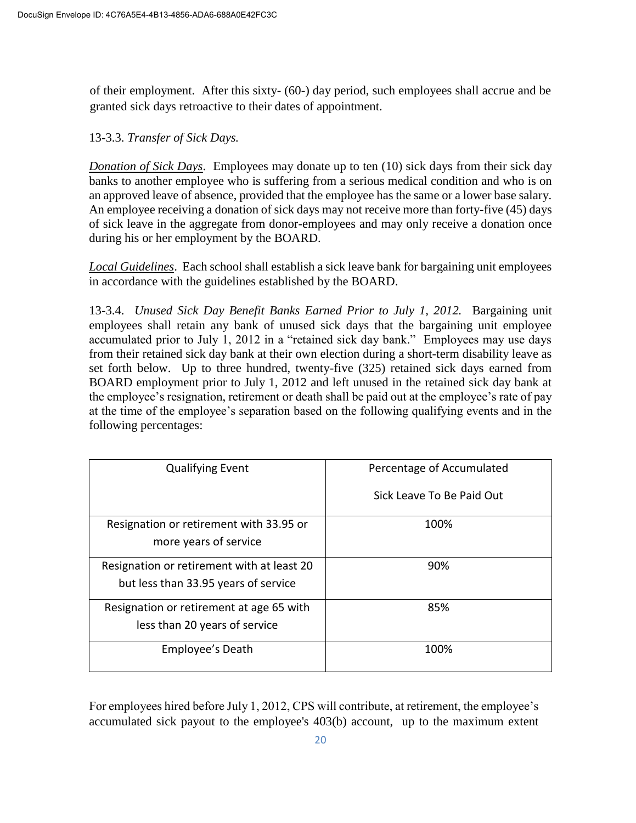of their employment. After this sixty- (60-) day period, such employees shall accrue and be granted sick days retroactive to their dates of appointment.

13-3.3. *Transfer of Sick Days.*

*Donation of Sick Days*. Employees may donate up to ten (10) sick days from their sick day banks to another employee who is suffering from a serious medical condition and who is on an approved leave of absence, provided that the employee has the same or a lower base salary. An employee receiving a donation of sick days may not receive more than forty-five (45) days of sick leave in the aggregate from donor-employees and may only receive a donation once during his or her employment by the BOARD.

*Local Guidelines*. Each school shall establish a sick leave bank for bargaining unit employees in accordance with the guidelines established by the BOARD.

13-3.4. *Unused Sick Day Benefit Banks Earned Prior to July 1, 2012.* Bargaining unit employees shall retain any bank of unused sick days that the bargaining unit employee accumulated prior to July 1, 2012 in a "retained sick day bank." Employees may use days from their retained sick day bank at their own election during a short-term disability leave as set forth below. Up to three hundred, twenty-five (325) retained sick days earned from BOARD employment prior to July 1, 2012 and left unused in the retained sick day bank at the employee's resignation, retirement or death shall be paid out at the employee's rate of pay at the time of the employee's separation based on the following qualifying events and in the following percentages:

| <b>Qualifying Event</b>                    | Percentage of Accumulated |  |  |
|--------------------------------------------|---------------------------|--|--|
|                                            | Sick Leave To Be Paid Out |  |  |
| Resignation or retirement with 33.95 or    | 100%                      |  |  |
| more years of service                      |                           |  |  |
| Resignation or retirement with at least 20 | 90%                       |  |  |
| but less than 33.95 years of service       |                           |  |  |
| Resignation or retirement at age 65 with   | 85%                       |  |  |
| less than 20 years of service              |                           |  |  |
| Employee's Death                           | 100%                      |  |  |

For employees hired before July 1, 2012, CPS will contribute, at retirement, the employee's accumulated sick payout to the employee's 403(b) account, up to the maximum extent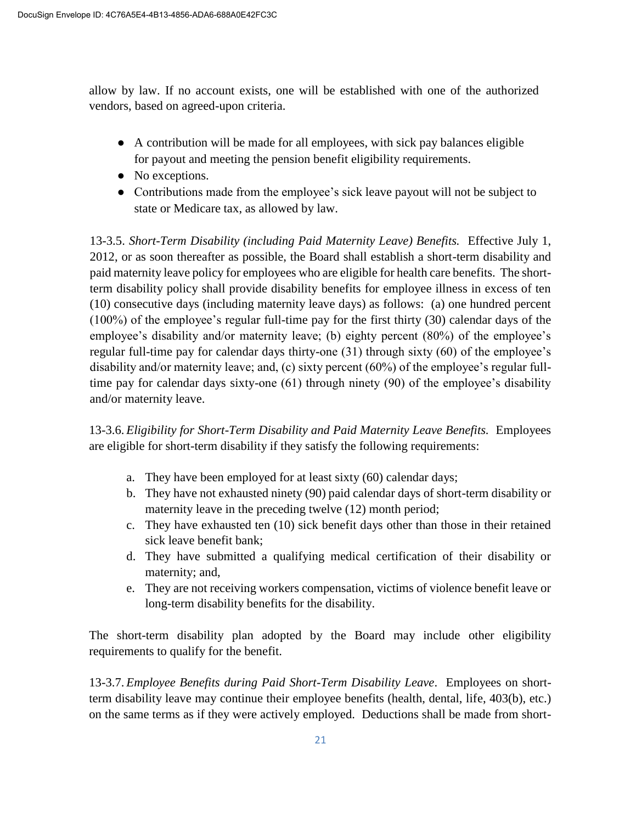allow by law. If no account exists, one will be established with one of the authorized vendors, based on agreed-upon criteria.

- A contribution will be made for all employees, with sick pay balances eligible for payout and meeting the pension benefit eligibility requirements.
- No exceptions.
- Contributions made from the employee's sick leave payout will not be subject to state or Medicare tax, as allowed by law.

13-3.5. *Short-Term Disability (including Paid Maternity Leave) Benefits.* Effective July 1, 2012, or as soon thereafter as possible, the Board shall establish a short-term disability and paid maternity leave policy for employees who are eligible for health care benefits. The shortterm disability policy shall provide disability benefits for employee illness in excess of ten (10) consecutive days (including maternity leave days) as follows: (a) one hundred percent (100%) of the employee's regular full-time pay for the first thirty (30) calendar days of the employee's disability and/or maternity leave; (b) eighty percent (80%) of the employee's regular full-time pay for calendar days thirty-one (31) through sixty (60) of the employee's disability and/or maternity leave; and, (c) sixty percent (60%) of the employee's regular fulltime pay for calendar days sixty-one (61) through ninety (90) of the employee's disability and/or maternity leave.

13-3.6. *Eligibility for Short-Term Disability and Paid Maternity Leave Benefits.* Employees are eligible for short-term disability if they satisfy the following requirements:

- a. They have been employed for at least sixty (60) calendar days;
- b. They have not exhausted ninety (90) paid calendar days of short-term disability or maternity leave in the preceding twelve (12) month period;
- c. They have exhausted ten (10) sick benefit days other than those in their retained sick leave benefit bank;
- d. They have submitted a qualifying medical certification of their disability or maternity; and,
- e. They are not receiving workers compensation, victims of violence benefit leave or long-term disability benefits for the disability.

The short-term disability plan adopted by the Board may include other eligibility requirements to qualify for the benefit.

13-3.7. *Employee Benefits during Paid Short-Term Disability Leave*. Employees on shortterm disability leave may continue their employee benefits (health, dental, life, 403(b), etc.) on the same terms as if they were actively employed. Deductions shall be made from short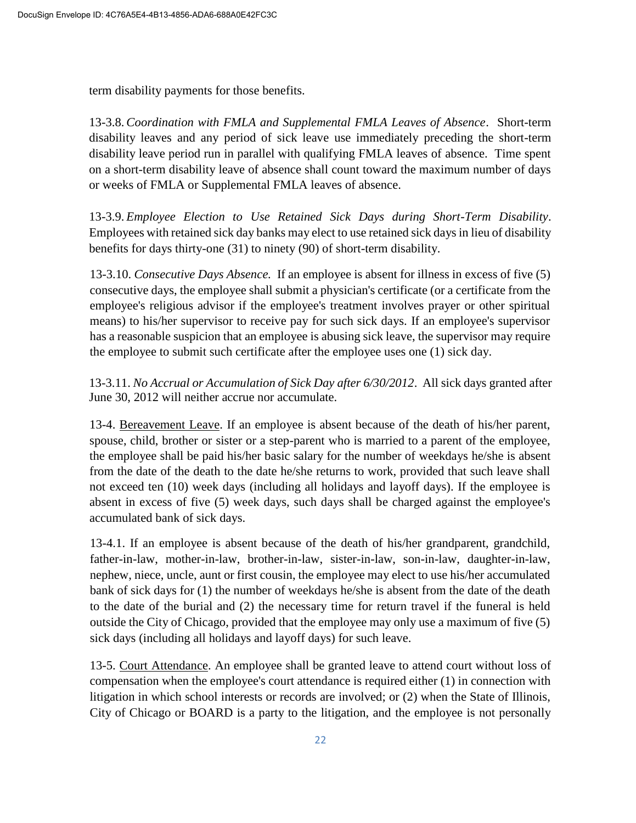term disability payments for those benefits.

13-3.8. *Coordination with FMLA and Supplemental FMLA Leaves of Absence*. Short-term disability leaves and any period of sick leave use immediately preceding the short-term disability leave period run in parallel with qualifying FMLA leaves of absence. Time spent on a short-term disability leave of absence shall count toward the maximum number of days or weeks of FMLA or Supplemental FMLA leaves of absence.

13-3.9. *Employee Election to Use Retained Sick Days during Short-Term Disability*. Employees with retained sick day banks may elect to use retained sick days in lieu of disability benefits for days thirty-one (31) to ninety (90) of short-term disability.

13-3.10. *Consecutive Days Absence.* If an employee is absent for illness in excess of five (5) consecutive days, the employee shall submit a physician's certificate (or a certificate from the employee's religious advisor if the employee's treatment involves prayer or other spiritual means) to his/her supervisor to receive pay for such sick days. If an employee's supervisor has a reasonable suspicion that an employee is abusing sick leave, the supervisor may require the employee to submit such certificate after the employee uses one (1) sick day.

13-3.11. *No Accrual or Accumulation of Sick Day after 6/30/2012*. All sick days granted after June 30, 2012 will neither accrue nor accumulate.

13-4. Bereavement Leave. If an employee is absent because of the death of his/her parent, spouse, child, brother or sister or a step-parent who is married to a parent of the employee, the employee shall be paid his/her basic salary for the number of weekdays he/she is absent from the date of the death to the date he/she returns to work, provided that such leave shall not exceed ten (10) week days (including all holidays and layoff days). If the employee is absent in excess of five (5) week days, such days shall be charged against the employee's accumulated bank of sick days.

13-4.1. If an employee is absent because of the death of his/her grandparent, grandchild, father-in-law, mother-in-law, brother-in-law, sister-in-law, son-in-law, daughter-in-law, nephew, niece, uncle, aunt or first cousin, the employee may elect to use his/her accumulated bank of sick days for (1) the number of weekdays he/she is absent from the date of the death to the date of the burial and (2) the necessary time for return travel if the funeral is held outside the City of Chicago, provided that the employee may only use a maximum of five (5) sick days (including all holidays and layoff days) for such leave.

13-5. Court Attendance. An employee shall be granted leave to attend court without loss of compensation when the employee's court attendance is required either (1) in connection with litigation in which school interests or records are involved; or (2) when the State of Illinois, City of Chicago or BOARD is a party to the litigation, and the employee is not personally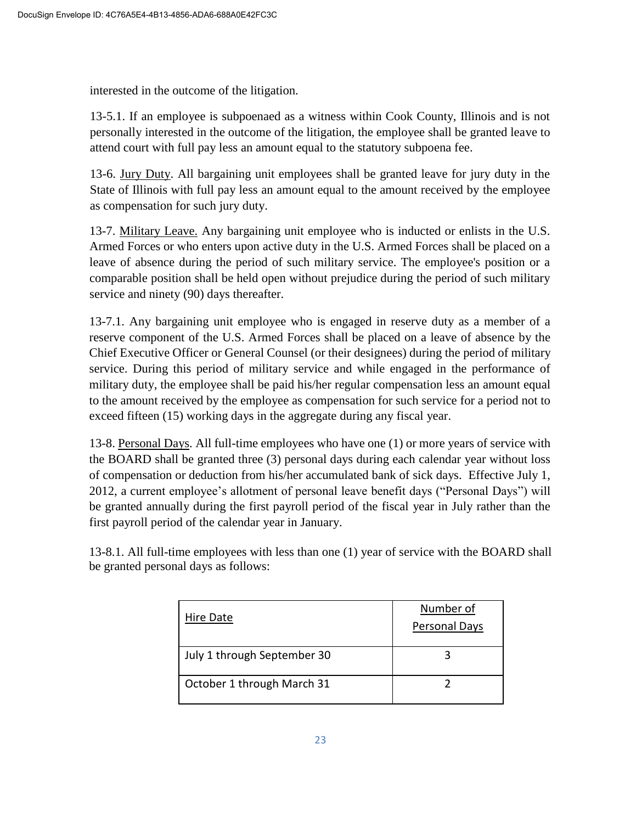interested in the outcome of the litigation.

13-5.1. If an employee is subpoenaed as a witness within Cook County, Illinois and is not personally interested in the outcome of the litigation, the employee shall be granted leave to attend court with full pay less an amount equal to the statutory subpoena fee.

13-6. Jury Duty. All bargaining unit employees shall be granted leave for jury duty in the State of Illinois with full pay less an amount equal to the amount received by the employee as compensation for such jury duty.

13-7. Military Leave. Any bargaining unit employee who is inducted or enlists in the U.S. Armed Forces or who enters upon active duty in the U.S. Armed Forces shall be placed on a leave of absence during the period of such military service. The employee's position or a comparable position shall be held open without prejudice during the period of such military service and ninety (90) days thereafter.

13-7.1. Any bargaining unit employee who is engaged in reserve duty as a member of a reserve component of the U.S. Armed Forces shall be placed on a leave of absence by the Chief Executive Officer or General Counsel (or their designees) during the period of military service. During this period of military service and while engaged in the performance of military duty, the employee shall be paid his/her regular compensation less an amount equal to the amount received by the employee as compensation for such service for a period not to exceed fifteen (15) working days in the aggregate during any fiscal year.

13-8. Personal Days. All full-time employees who have one (1) or more years of service with the BOARD shall be granted three (3) personal days during each calendar year without loss of compensation or deduction from his/her accumulated bank of sick days. Effective July 1, 2012, a current employee's allotment of personal leave benefit days ("Personal Days") will be granted annually during the first payroll period of the fiscal year in July rather than the first payroll period of the calendar year in January.

13-8.1. All full-time employees with less than one (1) year of service with the BOARD shall be granted personal days as follows:

| Hire Date                   | Number of<br>Personal Days |
|-----------------------------|----------------------------|
| July 1 through September 30 |                            |
| October 1 through March 31  |                            |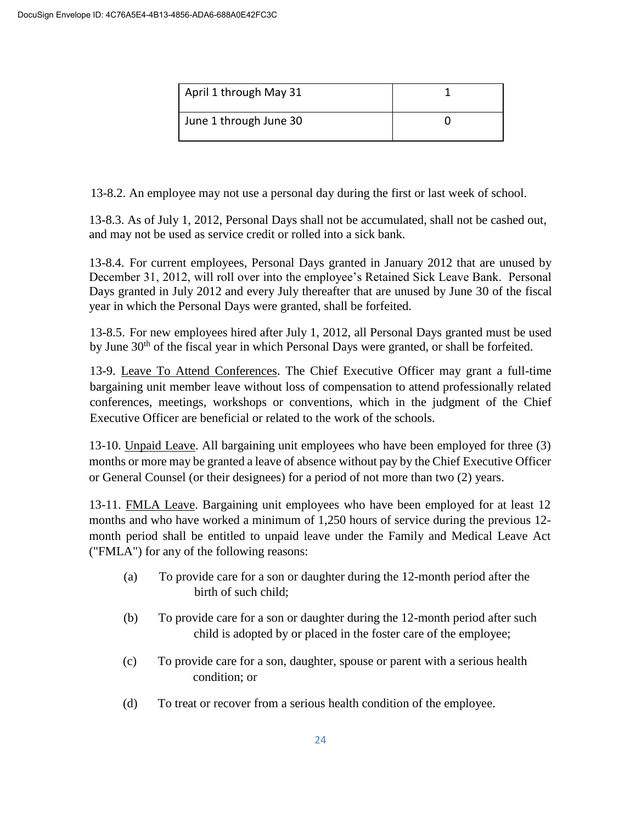| April 1 through May 31 |  |
|------------------------|--|
| June 1 through June 30 |  |

13-8.2. An employee may not use a personal day during the first or last week of school.

13-8.3. As of July 1, 2012, Personal Days shall not be accumulated, shall not be cashed out, and may not be used as service credit or rolled into a sick bank.

13-8.4. For current employees, Personal Days granted in January 2012 that are unused by December 31, 2012, will roll over into the employee's Retained Sick Leave Bank. Personal Days granted in July 2012 and every July thereafter that are unused by June 30 of the fiscal year in which the Personal Days were granted, shall be forfeited.

13-8.5. For new employees hired after July 1, 2012, all Personal Days granted must be used by June 30<sup>th</sup> of the fiscal year in which Personal Days were granted, or shall be forfeited.

13-9. Leave To Attend Conferences. The Chief Executive Officer may grant a full-time bargaining unit member leave without loss of compensation to attend professionally related conferences, meetings, workshops or conventions, which in the judgment of the Chief Executive Officer are beneficial or related to the work of the schools.

13-10. Unpaid Leave. All bargaining unit employees who have been employed for three (3) months or more may be granted a leave of absence without pay by the Chief Executive Officer or General Counsel (or their designees) for a period of not more than two (2) years.

13-11. FMLA Leave. Bargaining unit employees who have been employed for at least 12 months and who have worked a minimum of 1,250 hours of service during the previous 12 month period shall be entitled to unpaid leave under the Family and Medical Leave Act ("FMLA") for any of the following reasons:

- (a) To provide care for a son or daughter during the 12-month period after the birth of such child;
- (b) To provide care for a son or daughter during the 12-month period after such child is adopted by or placed in the foster care of the employee;
- (c) To provide care for a son, daughter, spouse or parent with a serious health condition; or
- (d) To treat or recover from a serious health condition of the employee.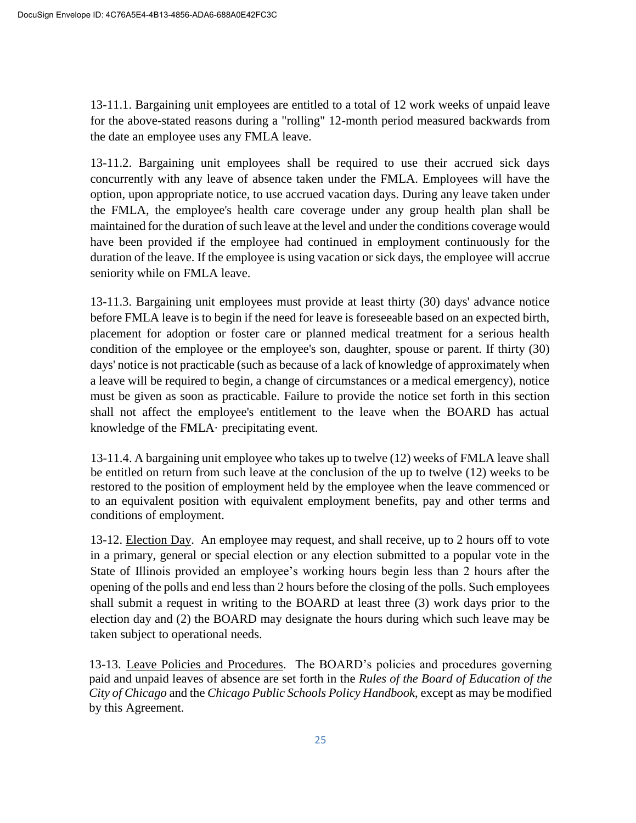13-11.1. Bargaining unit employees are entitled to a total of 12 work weeks of unpaid leave for the above-stated reasons during a "rolling" 12-month period measured backwards from the date an employee uses any FMLA leave.

13-11.2. Bargaining unit employees shall be required to use their accrued sick days concurrently with any leave of absence taken under the FMLA. Employees will have the option, upon appropriate notice, to use accrued vacation days. During any leave taken under the FMLA, the employee's health care coverage under any group health plan shall be maintained for the duration of such leave at the level and under the conditions coverage would have been provided if the employee had continued in employment continuously for the duration of the leave. If the employee is using vacation or sick days, the employee will accrue seniority while on FMLA leave.

13-11.3. Bargaining unit employees must provide at least thirty (30) days' advance notice before FMLA leave is to begin if the need for leave is foreseeable based on an expected birth, placement for adoption or foster care or planned medical treatment for a serious health condition of the employee or the employee's son, daughter, spouse or parent. If thirty (30) days' notice is not practicable (such as because of a lack of knowledge of approximately when a leave will be required to begin, a change of circumstances or a medical emergency), notice must be given as soon as practicable. Failure to provide the notice set forth in this section shall not affect the employee's entitlement to the leave when the BOARD has actual knowledge of the FMLA· precipitating event.

13-11.4. A bargaining unit employee who takes up to twelve (12) weeks of FMLA leave shall be entitled on return from such leave at the conclusion of the up to twelve (12) weeks to be restored to the position of employment held by the employee when the leave commenced or to an equivalent position with equivalent employment benefits, pay and other terms and conditions of employment.

13-12. Election Day. An employee may request, and shall receive, up to 2 hours off to vote in a primary, general or special election or any election submitted to a popular vote in the State of Illinois provided an employee's working hours begin less than 2 hours after the opening of the polls and end less than 2 hours before the closing of the polls. Such employees shall submit a request in writing to the BOARD at least three (3) work days prior to the election day and (2) the BOARD may designate the hours during which such leave may be taken subject to operational needs.

13-13. Leave Policies and Procedures. The BOARD's policies and procedures governing paid and unpaid leaves of absence are set forth in the *Rules of the Board of Education of the City of Chicago* and the *Chicago Public Schools Policy Handbook*, except as may be modified by this Agreement.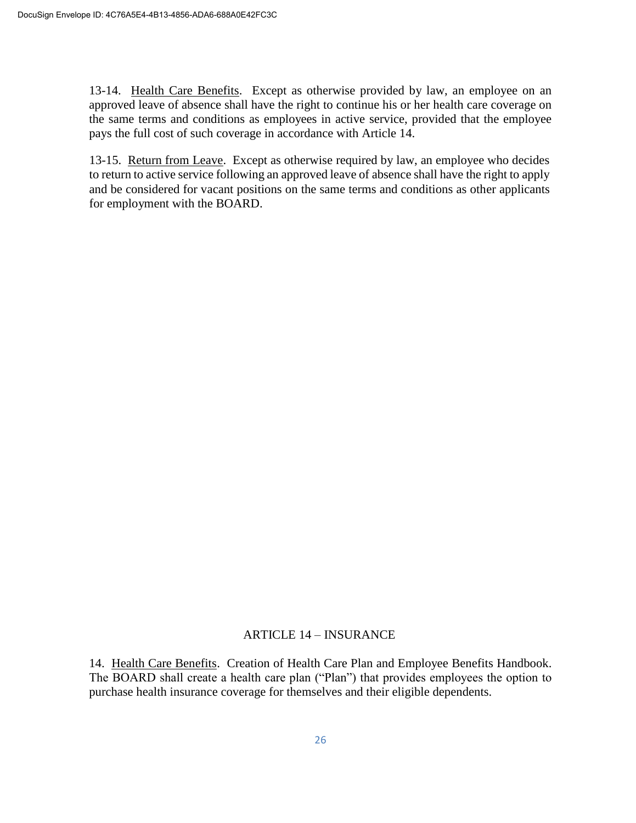13-14. Health Care Benefits. Except as otherwise provided by law, an employee on an approved leave of absence shall have the right to continue his or her health care coverage on the same terms and conditions as employees in active service, provided that the employee pays the full cost of such coverage in accordance with Article 14.

13-15. Return from Leave. Except as otherwise required by law, an employee who decides to return to active service following an approved leave of absence shall have the right to apply and be considered for vacant positions on the same terms and conditions as other applicants for employment with the BOARD.

### ARTICLE 14 – INSURANCE

14. Health Care Benefits. Creation of Health Care Plan and Employee Benefits Handbook. The BOARD shall create a health care plan ("Plan") that provides employees the option to purchase health insurance coverage for themselves and their eligible dependents.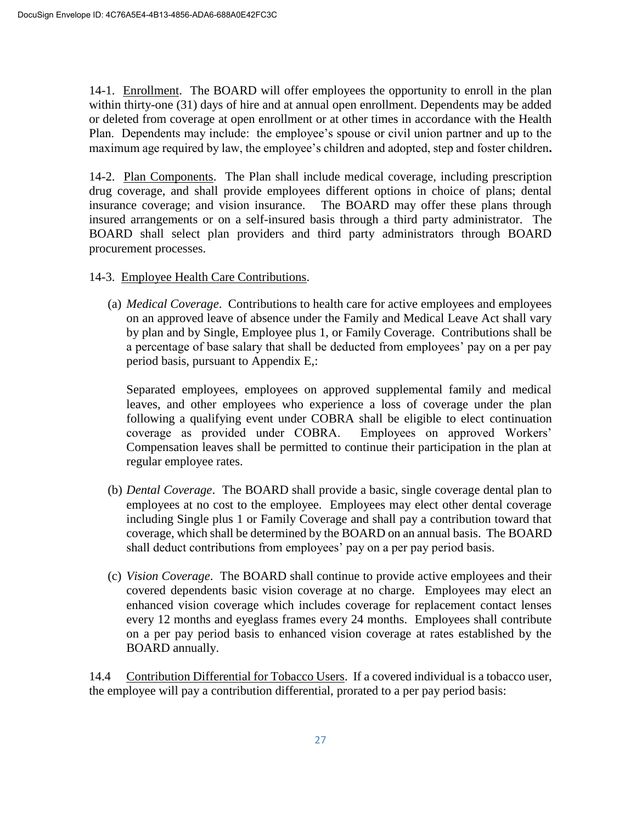14-1. Enrollment. The BOARD will offer employees the opportunity to enroll in the plan within thirty-one (31) days of hire and at annual open enrollment. Dependents may be added or deleted from coverage at open enrollment or at other times in accordance with the Health Plan. Dependents may include: the employee's spouse or civil union partner and up to the maximum age required by law, the employee's children and adopted, step and foster children**.** 

14-2. Plan Components. The Plan shall include medical coverage, including prescription drug coverage, and shall provide employees different options in choice of plans; dental insurance coverage; and vision insurance. The BOARD may offer these plans through insured arrangements or on a self-insured basis through a third party administrator. The BOARD shall select plan providers and third party administrators through BOARD procurement processes.

- 14-3. Employee Health Care Contributions.
	- (a) *Medical Coverage*. Contributions to health care for active employees and employees on an approved leave of absence under the Family and Medical Leave Act shall vary by plan and by Single, Employee plus 1, or Family Coverage. Contributions shall be a percentage of base salary that shall be deducted from employees' pay on a per pay period basis, pursuant to Appendix E,:

Separated employees, employees on approved supplemental family and medical leaves, and other employees who experience a loss of coverage under the plan following a qualifying event under COBRA shall be eligible to elect continuation coverage as provided under COBRA. Employees on approved Workers' Compensation leaves shall be permitted to continue their participation in the plan at regular employee rates.

- (b) *Dental Coverage*. The BOARD shall provide a basic, single coverage dental plan to employees at no cost to the employee. Employees may elect other dental coverage including Single plus 1 or Family Coverage and shall pay a contribution toward that coverage, which shall be determined by the BOARD on an annual basis. The BOARD shall deduct contributions from employees' pay on a per pay period basis.
- (c) *Vision Coverage*. The BOARD shall continue to provide active employees and their covered dependents basic vision coverage at no charge. Employees may elect an enhanced vision coverage which includes coverage for replacement contact lenses every 12 months and eyeglass frames every 24 months. Employees shall contribute on a per pay period basis to enhanced vision coverage at rates established by the BOARD annually.

14.4 Contribution Differential for Tobacco Users. If a covered individual is a tobacco user, the employee will pay a contribution differential, prorated to a per pay period basis: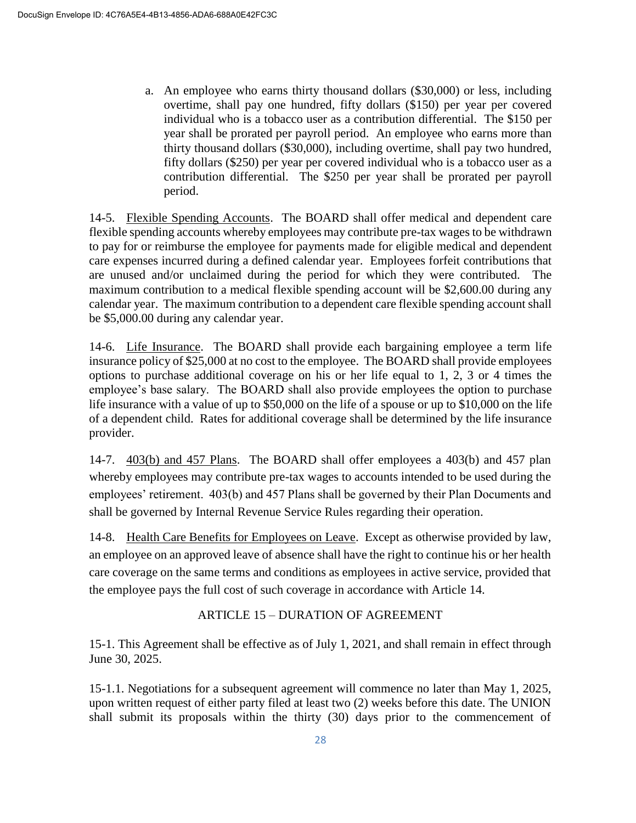a. An employee who earns thirty thousand dollars (\$30,000) or less, including overtime, shall pay one hundred, fifty dollars (\$150) per year per covered individual who is a tobacco user as a contribution differential. The \$150 per year shall be prorated per payroll period. An employee who earns more than thirty thousand dollars (\$30,000), including overtime, shall pay two hundred, fifty dollars (\$250) per year per covered individual who is a tobacco user as a contribution differential. The \$250 per year shall be prorated per payroll period.

14-5. Flexible Spending Accounts. The BOARD shall offer medical and dependent care flexible spending accounts whereby employees may contribute pre-tax wages to be withdrawn to pay for or reimburse the employee for payments made for eligible medical and dependent care expenses incurred during a defined calendar year. Employees forfeit contributions that are unused and/or unclaimed during the period for which they were contributed. The maximum contribution to a medical flexible spending account will be \$2,600.00 during any calendar year. The maximum contribution to a dependent care flexible spending account shall be \$5,000.00 during any calendar year.

14-6. Life Insurance. The BOARD shall provide each bargaining employee a term life insurance policy of \$25,000 at no cost to the employee. The BOARD shall provide employees options to purchase additional coverage on his or her life equal to 1, 2, 3 or 4 times the employee's base salary. The BOARD shall also provide employees the option to purchase life insurance with a value of up to \$50,000 on the life of a spouse or up to \$10,000 on the life of a dependent child. Rates for additional coverage shall be determined by the life insurance provider.

14-7. 403(b) and 457 Plans. The BOARD shall offer employees a 403(b) and 457 plan whereby employees may contribute pre-tax wages to accounts intended to be used during the employees' retirement. 403(b) and 457 Plans shall be governed by their Plan Documents and shall be governed by Internal Revenue Service Rules regarding their operation.

14-8. Health Care Benefits for Employees on Leave. Except as otherwise provided by law, an employee on an approved leave of absence shall have the right to continue his or her health care coverage on the same terms and conditions as employees in active service, provided that the employee pays the full cost of such coverage in accordance with Article 14.

# ARTICLE 15 – DURATION OF AGREEMENT

15-1. This Agreement shall be effective as of July 1, 2021, and shall remain in effect through June 30, 2025.

15-1.1. Negotiations for a subsequent agreement will commence no later than May 1, 2025, upon written request of either party filed at least two (2) weeks before this date. The UNION shall submit its proposals within the thirty (30) days prior to the commencement of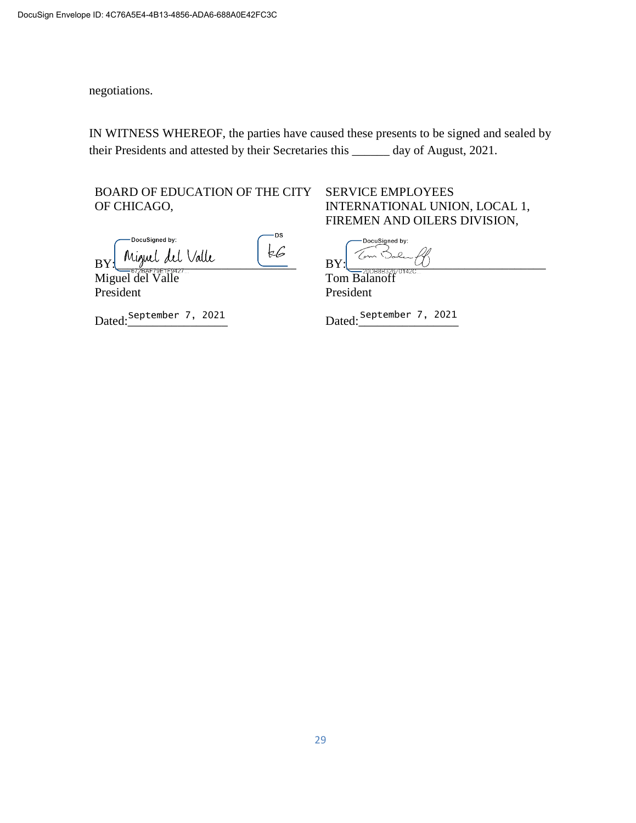negotiations.

IN WITNESS WHEREOF, the parties have caused these presents to be signed and sealed by their Presidents and attested by their Secretaries this \_\_\_\_\_\_ day of August, 2021.

BOARD OF EDUCATION OF THE CITY OF CHICAGO,

-DS -DocuSianed by: BY: Miguel del Valle  $k6$ 

Miguel del Valle President

Dated:\_\_\_\_\_\_\_\_\_\_\_\_\_\_\_\_ Dated:\_\_\_\_\_\_\_\_\_\_\_\_\_\_\_\_ September 7, 2021 September 7, 2021

# SERVICE EMPLOYEES INTERNATIONAL UNION, LOCAL 1, FIREMEN AND OILERS DIVISION,

DocuSigned by: Tom Bo BY:\_\_\_\_\_\_\_\_\_\_\_\_\_\_\_\_\_\_\_\_\_\_\_\_\_\_\_\_\_\_\_\_

Tom Balanoff President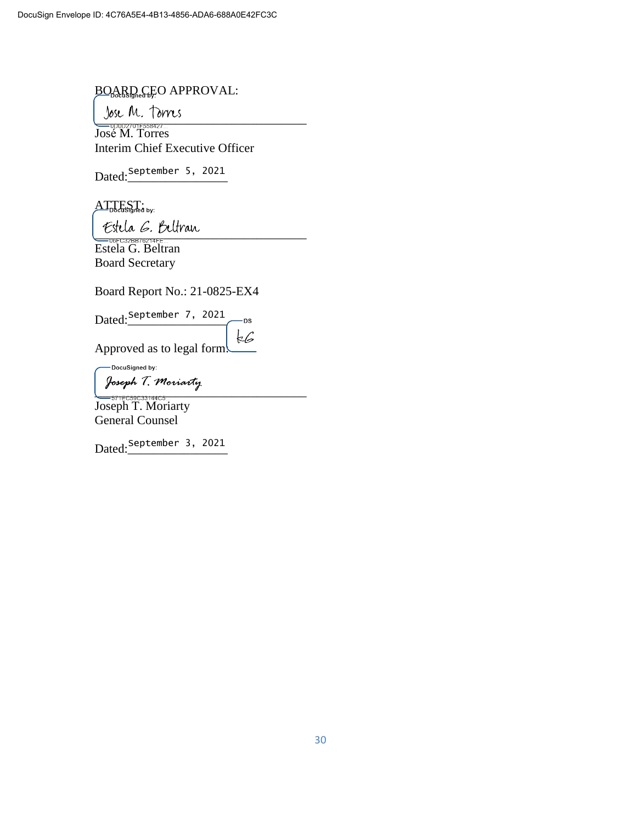# BOARD CEO APPROVAL:

 $\bigcup_{U} U \subset V \subset L$  |  $U \cap U$ ;<br> $\bigcup_{0 \le i \le n} U \cap V \subset L$ José M. Torres Interim Chief Executive Officer

Dated:\_\_\_\_\_\_\_\_\_\_\_\_\_\_\_\_ September 5, 2021

 $ATT<sub>Docusland by:</sub>$ 

\_\_\_\_\_\_\_\_\_\_\_\_\_\_\_\_\_\_\_\_\_\_\_\_\_\_\_\_\_\_\_\_\_\_

Estela G. Beltran Board Secretary

Board Report No.: 21-0825-EX4

Dated:<u>September 7, 2021</u> -DS

 $\frac{1}{2}$ Approved as to legal form:

-DocuSigned by:

\_\_\_\_\_\_\_\_\_\_\_\_\_\_\_\_\_\_\_\_\_\_\_\_\_\_\_\_\_\_\_\_\_\_

Joseph T. Moriarty General Counsel

Dated:\_\_\_\_\_\_\_\_\_\_\_\_\_\_\_\_ September 3, 2021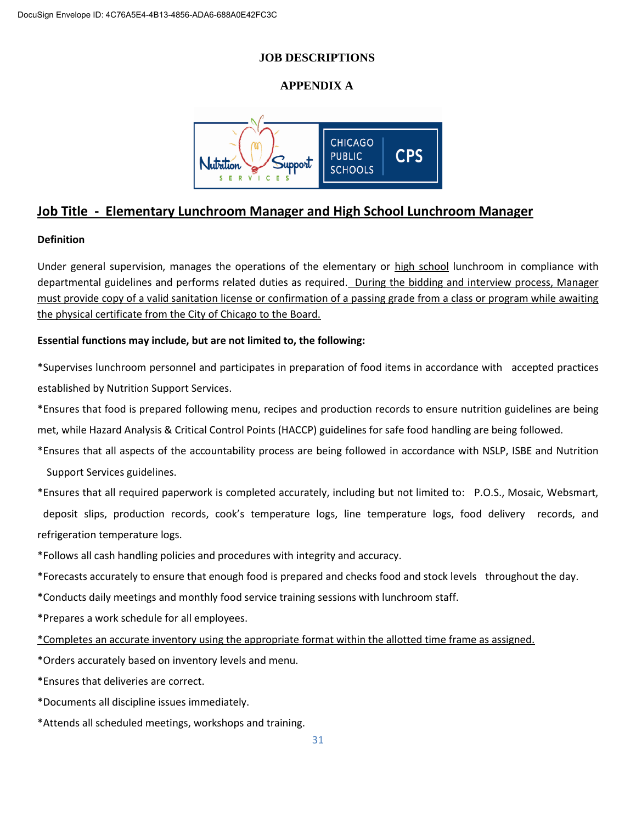#### **JOB DESCRIPTIONS**

### **APPENDIX A**



# **Job Title - Elementary Lunchroom Manager and High School Lunchroom Manager**

#### **Definition**

Under general supervision, manages the operations of the elementary or high school lunchroom in compliance with departmental guidelines and performs related duties as required. During the bidding and interview process, Manager must provide copy of a valid sanitation license or confirmation of a passing grade from a class or program while awaiting the physical certificate from the City of Chicago to the Board.

#### **Essential functions may include, but are not limited to, the following:**

\*Supervises lunchroom personnel and participates in preparation of food items in accordance with \*accepted practices established by Nutrition Support Services.

\*Ensures that food is prepared following menu, recipes and production records to ensure nutrition guidelines are being met, while Hazard Analysis & Critical Control Points (HACCP) guidelines for safe food handling are being followed.

\*Ensures that all aspects of the accountability process are being followed in accordance with NSLP, ISBE and Nutrition Support Services guidelines.

\*Ensures that all required paperwork is completed accurately, including but not limited to: P.O.S., Mosaic, Websmart, deposit slips, production records, cook's temperature logs, line temperature logs, food delivery records, and refrigeration temperature logs.

\*Follows all cash handling policies and procedures with integrity and accuracy.

\*Forecasts accurately to ensure that enough food is prepared and checks food and stock levels \*throughout the day.

\*Conducts daily meetings and monthly food service training sessions with lunchroom staff.

\*Prepares a work schedule for all employees.

\*Completes an accurate inventory using the appropriate format within the allotted time frame as assigned.

\*Orders accurately based on inventory levels and menu.

\*Ensures that deliveries are correct.

\*Documents all discipline issues immediately.

\*Attends all scheduled meetings, workshops and training.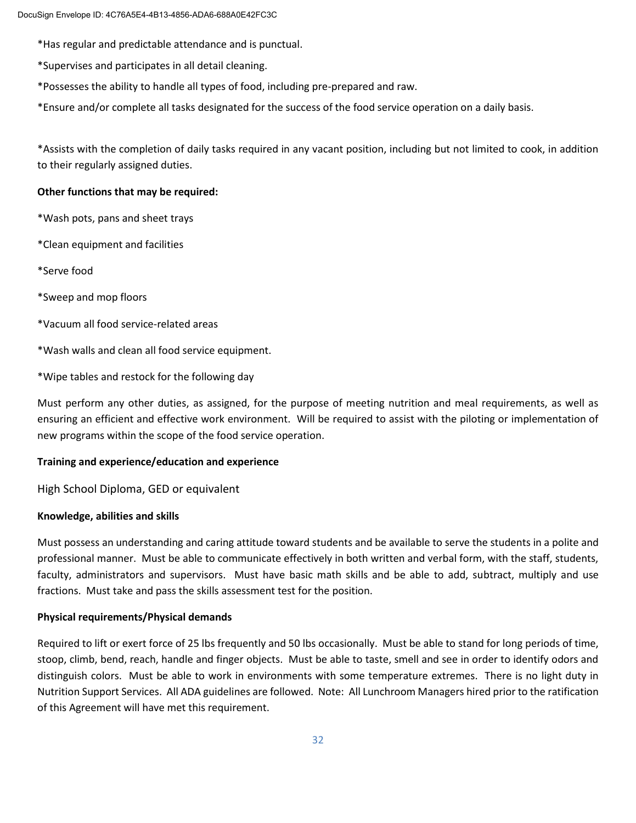\*Has regular and predictable attendance and is punctual.

\*Supervises and participates in all detail cleaning.

\*Possesses the ability to handle all types of food, including pre-prepared and raw.

\*Ensure and/or complete all tasks designated for the success of the food service operation on a daily basis.

\*Assists with the completion of daily tasks required in any vacant position, including but not limited to cook, in addition to their regularly assigned duties.

#### **Other functions that may be required:**

\*Wash pots, pans and sheet trays

\*Clean equipment and facilities

\*Serve food

\*Sweep and mop floors

\*Vacuum all food service-related areas

\*Wash walls and clean all food service equipment.

\*Wipe tables and restock for the following day

Must perform any other duties, as assigned, for the purpose of meeting nutrition and meal requirements, as well as ensuring an efficient and effective work environment. Will be required to assist with the piloting or implementation of new programs within the scope of the food service operation.

#### **Training and experience/education and experience**

High School Diploma, GED or equivalent

#### **Knowledge, abilities and skills**

Must possess an understanding and caring attitude toward students and be available to serve the students in a polite and professional manner. Must be able to communicate effectively in both written and verbal form, with the staff, students, faculty, administrators and supervisors. Must have basic math skills and be able to add, subtract, multiply and use fractions. Must take and pass the skills assessment test for the position.

#### **Physical requirements/Physical demands**

Required to lift or exert force of 25 lbs frequently and 50 lbs occasionally. Must be able to stand for long periods of time, stoop, climb, bend, reach, handle and finger objects. Must be able to taste, smell and see in order to identify odors and distinguish colors. Must be able to work in environments with some temperature extremes. There is no light duty in Nutrition Support Services. All ADA guidelines are followed. Note: All Lunchroom Managers hired prior to the ratification of this Agreement will have met this requirement.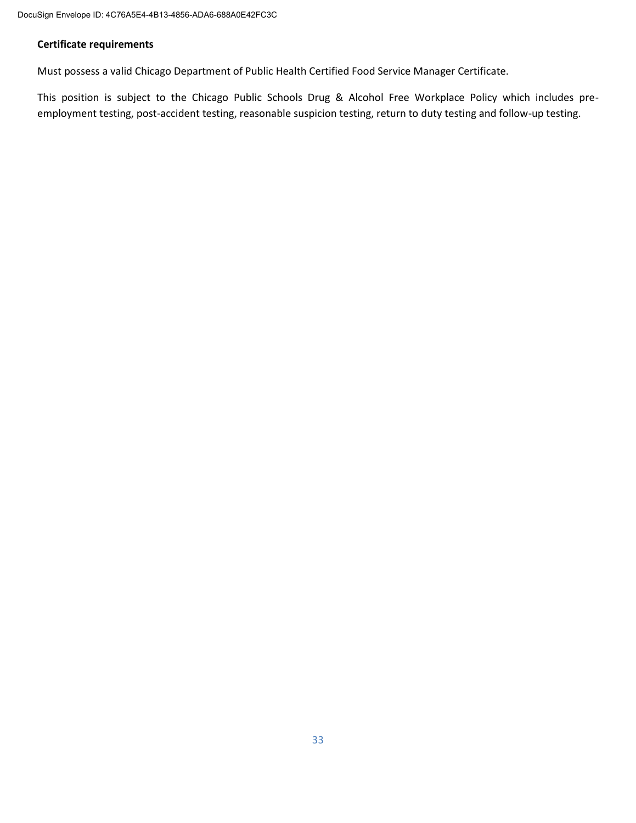#### **Certificate requirements**

Must possess a valid Chicago Department of Public Health Certified Food Service Manager Certificate.

This position is subject to the Chicago Public Schools Drug & Alcohol Free Workplace Policy which includes preemployment testing, post-accident testing, reasonable suspicion testing, return to duty testing and follow-up testing.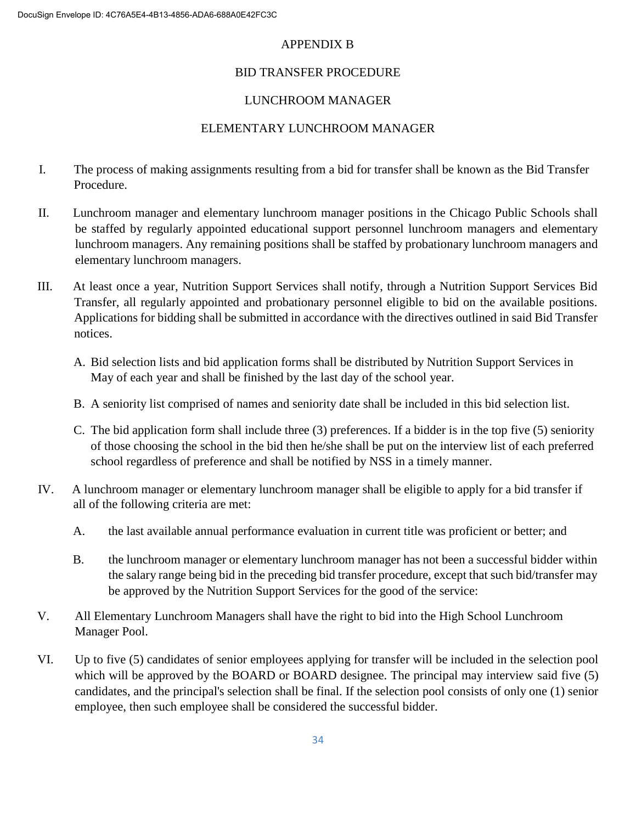# APPENDIX B

# BID TRANSFER PROCEDURE

# LUNCHROOM MANAGER

# ELEMENTARY LUNCHROOM MANAGER

- I. The process of making assignments resulting from a bid for transfer shall be known as the Bid Transfer Procedure.
- II. Lunchroom manager and elementary lunchroom manager positions in the Chicago Public Schools shall be staffed by regularly appointed educational support personnel lunchroom managers and elementary lunchroom managers. Any remaining positions shall be staffed by probationary lunchroom managers and elementary lunchroom managers.
- III. At least once a year, Nutrition Support Services shall notify, through a Nutrition Support Services Bid Transfer, all regularly appointed and probationary personnel eligible to bid on the available positions. Applications for bidding shall be submitted in accordance with the directives outlined in said Bid Transfer notices.
	- A. Bid selection lists and bid application forms shall be distributed by Nutrition Support Services in May of each year and shall be finished by the last day of the school year.
	- B. A seniority list comprised of names and seniority date shall be included in this bid selection list.
	- C. The bid application form shall include three (3) preferences. If a bidder is in the top five (5) seniority of those choosing the school in the bid then he/she shall be put on the interview list of each preferred school regardless of preference and shall be notified by NSS in a timely manner.
- IV. A lunchroom manager or elementary lunchroom manager shall be eligible to apply for a bid transfer if all of the following criteria are met:
	- A. the last available annual performance evaluation in current title was proficient or better; and
	- B. the lunchroom manager or elementary lunchroom manager has not been a successful bidder within the salary range being bid in the preceding bid transfer procedure, except that such bid/transfer may be approved by the Nutrition Support Services for the good of the service:
- V. All Elementary Lunchroom Managers shall have the right to bid into the High School Lunchroom Manager Pool.
- VI. Up to five (5) candidates of senior employees applying for transfer will be included in the selection pool which will be approved by the BOARD or BOARD designee. The principal may interview said five (5) candidates, and the principal's selection shall be final. If the selection pool consists of only one (1) senior employee, then such employee shall be considered the successful bidder.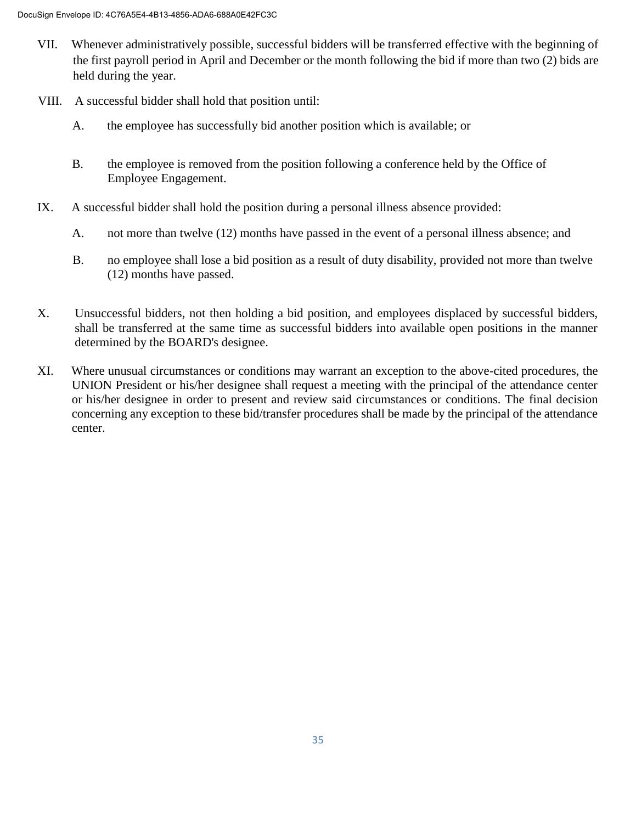- VII. Whenever administratively possible, successful bidders will be transferred effective with the beginning of the first payroll period in April and December or the month following the bid if more than two (2) bids are held during the year.
- VIII. A successful bidder shall hold that position until:
	- A. the employee has successfully bid another position which is available; or
	- B. the employee is removed from the position following a conference held by the Office of Employee Engagement.
- IX. A successful bidder shall hold the position during a personal illness absence provided:
	- A. not more than twelve (12) months have passed in the event of a personal illness absence; and
	- B. no employee shall lose a bid position as a result of duty disability, provided not more than twelve (12) months have passed.
- X. Unsuccessful bidders, not then holding a bid position, and employees displaced by successful bidders, shall be transferred at the same time as successful bidders into available open positions in the manner determined by the BOARD's designee.
- XI. Where unusual circumstances or conditions may warrant an exception to the above-cited procedures, the UNION President or his/her designee shall request a meeting with the principal of the attendance center or his/her designee in order to present and review said circumstances or conditions. The final decision concerning any exception to these bid/transfer procedures shall be made by the principal of the attendance center.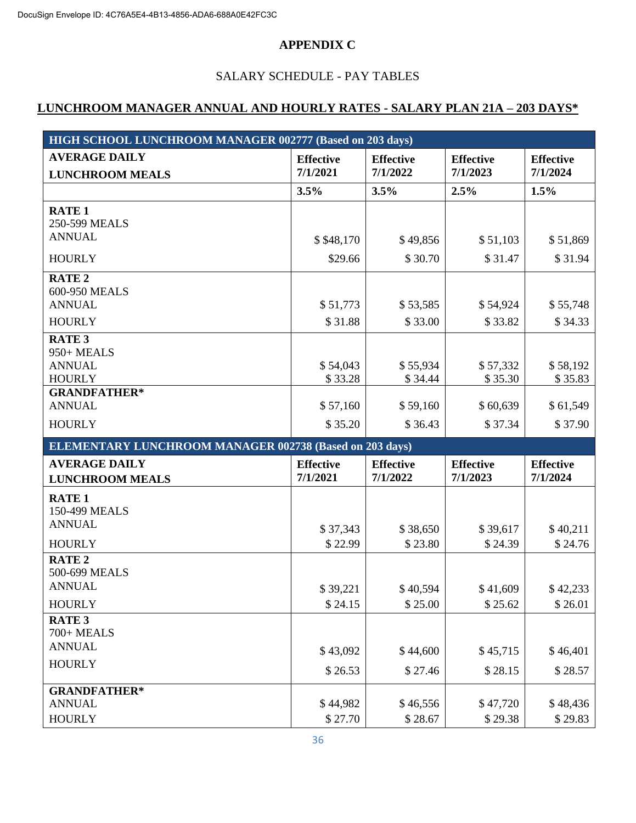## **APPENDIX C**

# SALARY SCHEDULE - PAY TABLES

# **LUNCHROOM MANAGER ANNUAL AND HOURLY RATES - SALARY PLAN 21A – 203 DAYS\***

| HIGH SCHOOL LUNCHROOM MANAGER 002777 (Based on 203 days)         |                              |                              |                              |                              |  |  |
|------------------------------------------------------------------|------------------------------|------------------------------|------------------------------|------------------------------|--|--|
| <b>AVERAGE DAILY</b><br><b>LUNCHROOM MEALS</b>                   | <b>Effective</b><br>7/1/2021 | <b>Effective</b><br>7/1/2022 | <b>Effective</b><br>7/1/2023 | <b>Effective</b><br>7/1/2024 |  |  |
|                                                                  | 3.5%                         | 3.5%                         | 2.5%                         | 1.5%                         |  |  |
| <b>RATE 1</b><br>250-599 MEALS                                   |                              |                              |                              |                              |  |  |
| <b>ANNUAL</b>                                                    | \$\$48,170                   | \$49,856                     | \$51,103                     | \$51,869                     |  |  |
| <b>HOURLY</b>                                                    | \$29.66                      | \$30.70                      | \$31.47                      | \$31.94                      |  |  |
| <b>RATE 2</b><br>600-950 MEALS<br><b>ANNUAL</b>                  | \$51,773                     | \$53,585                     | \$54,924                     | \$55,748                     |  |  |
| <b>HOURLY</b>                                                    | \$31.88                      | \$33.00                      | \$33.82                      | \$34.33                      |  |  |
| <b>RATE 3</b><br>950+ MEALS<br><b>ANNUAL</b><br><b>HOURLY</b>    | \$54,043<br>\$33.28          | \$55,934<br>\$34.44          | \$57,332<br>\$35.30          | \$58,192<br>\$35.83          |  |  |
| <b>GRANDFATHER*</b><br><b>ANNUAL</b>                             | \$57,160                     | \$59,160                     | \$60,639                     | \$61,549                     |  |  |
| <b>HOURLY</b>                                                    | \$35.20                      | \$36.43                      | \$37.34                      | \$37.90                      |  |  |
| <b>ELEMENTARY LUNCHROOM MANAGER 002738 (Based on 203 days)</b>   |                              |                              |                              |                              |  |  |
| <b>AVERAGE DAILY</b><br><b>LUNCHROOM MEALS</b>                   | <b>Effective</b><br>7/1/2021 | <b>Effective</b><br>7/1/2022 | <b>Effective</b><br>7/1/2023 | <b>Effective</b><br>7/1/2024 |  |  |
| <b>RATE 1</b><br>150-499 MEALS<br><b>ANNUAL</b><br><b>HOURLY</b> | \$37,343<br>\$22.99          | \$38,650<br>\$23.80          | \$39,617<br>\$24.39          | \$40,211<br>\$24.76          |  |  |
| <b>RATE 2</b><br>500-699 MEALS<br><b>ANNUAL</b>                  | \$39,221                     | \$40,594                     | \$41,609                     | \$42,233                     |  |  |
| <b>HOURLY</b>                                                    | \$24.15                      | \$25.00                      | \$25.62                      | \$26.01                      |  |  |
| RATE <sub>3</sub><br>700+ MEALS<br><b>ANNUAL</b>                 | \$43,092                     | \$44,600                     | \$45,715                     | \$46,401                     |  |  |
| <b>HOURLY</b>                                                    | \$26.53                      | \$27.46                      | \$28.15                      | \$28.57                      |  |  |
| <b>GRANDFATHER*</b><br><b>ANNUAL</b><br><b>HOURLY</b>            | \$44,982<br>\$27.70          | \$46,556<br>\$28.67          | \$47,720<br>\$29.38          | \$48,436<br>\$29.83          |  |  |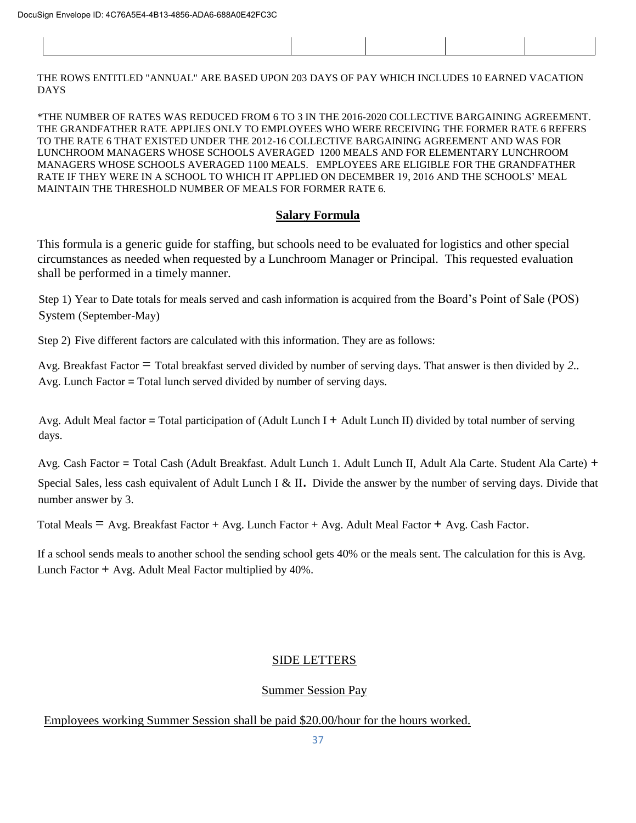| THE ROWS ENTITLED "ANNUAL" ARE BASED UPON 203 DAYS OF PAY WHICH INCLUDES 10 EARNED VACATION |  |  |  |  |  |
|---------------------------------------------------------------------------------------------|--|--|--|--|--|
| <b>DAYS</b>                                                                                 |  |  |  |  |  |

\*THE NUMBER OF RATES WAS REDUCED FROM 6 TO 3 IN THE 2016-2020 COLLECTIVE BARGAINING AGREEMENT. THE GRANDFATHER RATE APPLIES ONLY TO EMPLOYEES WHO WERE RECEIVING THE FORMER RATE 6 REFERS TO THE RATE 6 THAT EXISTED UNDER THE 2012-16 COLLECTIVE BARGAINING AGREEMENT AND WAS FOR LUNCHROOM MANAGERS WHOSE SCHOOLS AVERAGED 1200 MEALS AND FOR ELEMENTARY LUNCHROOM MANAGERS WHOSE SCHOOLS AVERAGED 1100 MEALS. EMPLOYEES ARE ELIGIBLE FOR THE GRANDFATHER RATE IF THEY WERE IN A SCHOOL TO WHICH IT APPLIED ON DECEMBER 19, 2016 AND THE SCHOOLS' MEAL MAINTAIN THE THRESHOLD NUMBER OF MEALS FOR FORMER RATE 6.

### **Salary Formula**

This formula is a generic guide for staffing, but schools need to be evaluated for logistics and other special circumstances as needed when requested by a Lunchroom Manager or Principal. This requested evaluation shall be performed in a timely manner.

Step 1) Year to Date totals for meals served and cash information is acquired from the Board's Point of Sale (POS) System (September-May)

Step 2) Five different factors are calculated with this information. They are as follows:

Avg. Breakfast Factor = Total breakfast served divided by number of serving days. That answer is then divided by *2..*  Avg. Lunch Factor = Total lunch served divided by number of serving days.

Avg. Adult Meal factor = Total participation of (Adult Lunch I + Adult Lunch II) divided by total number of serving days.

Avg. Cash Factor = Total Cash (Adult Breakfast. Adult Lunch 1. Adult Lunch II, Adult Ala Carte. Student Ala Carte) + Special Sales, less cash equivalent of Adult Lunch I & II. Divide the answer by the number of serving days. Divide that number answer by 3.

Total Meals  $=$  Avg. Breakfast Factor + Avg. Lunch Factor + Avg. Adult Meal Factor + Avg. Cash Factor.

If a school sends meals to another school the sending school gets 40% or the meals sent. The calculation for this is Avg. Lunch Factor + Avg. Adult Meal Factor multiplied by 40%.

### SIDE LETTERS

### Summer Session Pay

Employees working Summer Session shall be paid \$20.00/hour for the hours worked.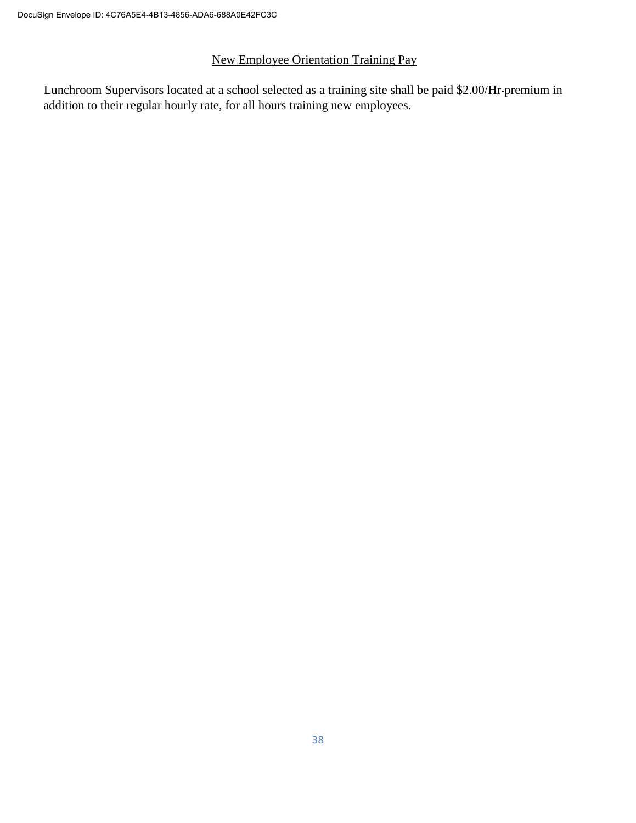# New Employee Orientation Training Pay

Lunchroom Supervisors located at a school selected as a training site shall be paid \$2.00/Hr premium in addition to their regular hourly rate, for all hours training new employees.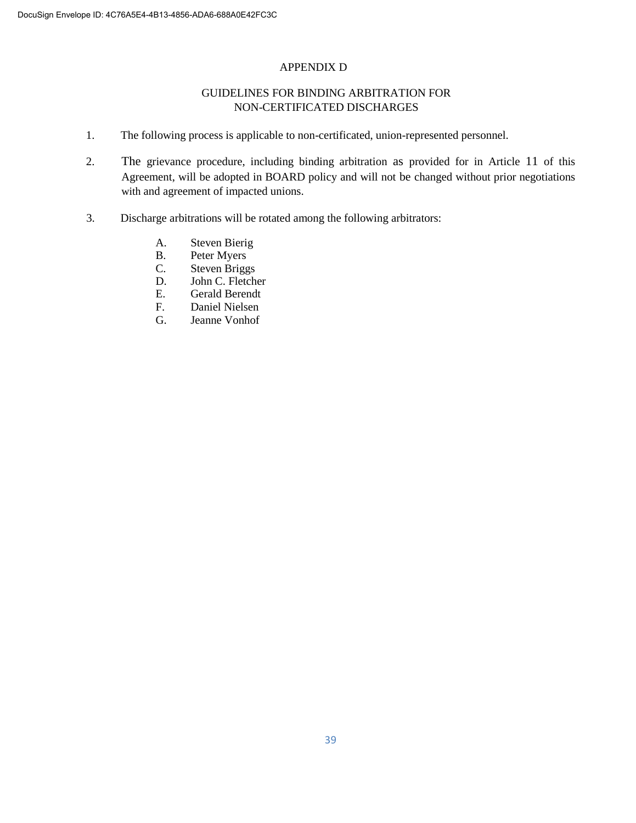#### APPENDIX D

#### GUIDELINES FOR BINDING ARBITRATION FOR NON-CERTIFICATED DISCHARGES

- 1. The following process is applicable to non-certificated, union-represented personnel.
- 2. The grievance procedure, including binding arbitration as provided for in Article 11 of this Agreement, will be adopted in BOARD policy and will not be changed without prior negotiations with and agreement of impacted unions.
- 3. Discharge arbitrations will be rotated among the following arbitrators:
	- A. Steven Bierig
	- B. Peter Myers<br>C. Steven Brigg
	- C. Steven Briggs<br>D. John C. Fletche
	- John C. Fletcher
	- E. Gerald Berendt<br>F. Daniel Nielsen
	- Daniel Nielsen
	- G. Jeanne Vonhof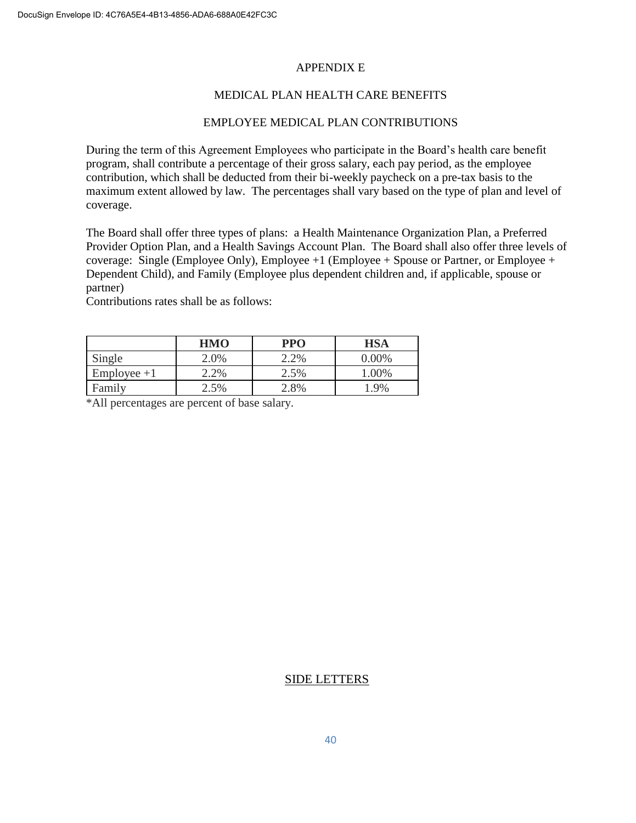#### APPENDIX E

#### MEDICAL PLAN HEALTH CARE BENEFITS

#### EMPLOYEE MEDICAL PLAN CONTRIBUTIONS

During the term of this Agreement Employees who participate in the Board's health care benefit program, shall contribute a percentage of their gross salary, each pay period, as the employee contribution, which shall be deducted from their bi-weekly paycheck on a pre-tax basis to the maximum extent allowed by law. The percentages shall vary based on the type of plan and level of coverage.

The Board shall offer three types of plans: a Health Maintenance Organization Plan, a Preferred Provider Option Plan, and a Health Savings Account Plan. The Board shall also offer three levels of coverage: Single (Employee Only), Employee  $+1$  (Employee  $+$  Spouse or Partner, or Employee  $+$ Dependent Child), and Family (Employee plus dependent children and, if applicable, spouse or partner)

Contributions rates shall be as follows:

|               | <b>HMO</b> | <b>PPO</b>    | HSA     |
|---------------|------------|---------------|---------|
| Single        | 2.0%       | <sup>2%</sup> | 0.00%   |
| $Employee +1$ | 2.2%       | 2.5%          | $.00\%$ |
| Family        | 2.5%       | $.8\%$        | .9%     |

\*All percentages are percent of base salary.

#### SIDE LETTERS